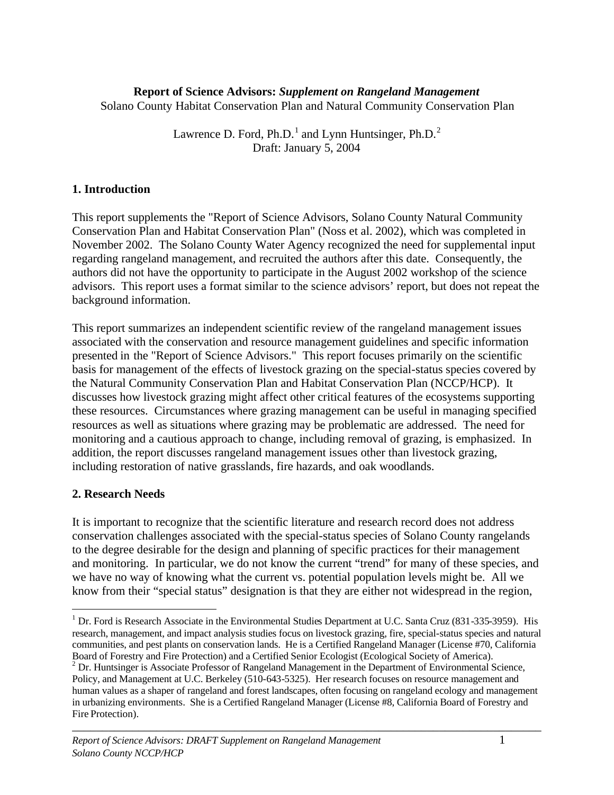## **Report of Science Advisors:** *Supplement on Rangeland Management* Solano County Habitat Conservation Plan and Natural Community Conservation Plan

Lawrence D. Ford, Ph.D.<sup>1</sup> and Lynn Huntsinger, Ph.D.<sup>2</sup> Draft: January 5, 2004

## **1. Introduction**

This report supplements the "Report of Science Advisors, Solano County Natural Community Conservation Plan and Habitat Conservation Plan" (Noss et al. 2002), which was completed in November 2002. The Solano County Water Agency recognized the need for supplemental input regarding rangeland management, and recruited the authors after this date. Consequently, the authors did not have the opportunity to participate in the August 2002 workshop of the science advisors. This report uses a format similar to the science advisors' report, but does not repeat the background information.

This report summarizes an independent scientific review of the rangeland management issues associated with the conservation and resource management guidelines and specific information presented in the "Report of Science Advisors." This report focuses primarily on the scientific basis for management of the effects of livestock grazing on the special-status species covered by the Natural Community Conservation Plan and Habitat Conservation Plan (NCCP/HCP). It discusses how livestock grazing might affect other critical features of the ecosystems supporting these resources. Circumstances where grazing management can be useful in managing specified resources as well as situations where grazing may be problematic are addressed. The need for monitoring and a cautious approach to change, including removal of grazing, is emphasized. In addition, the report discusses rangeland management issues other than livestock grazing, including restoration of native grasslands, fire hazards, and oak woodlands.

#### **2. Research Needs**

<u>.</u>

It is important to recognize that the scientific literature and research record does not address conservation challenges associated with the special-status species of Solano County rangelands to the degree desirable for the design and planning of specific practices for their management and monitoring. In particular, we do not know the current "trend" for many of these species, and we have no way of knowing what the current vs. potential population levels might be. All we know from their "special status" designation is that they are either not widespread in the region,

 $1$  Dr. Ford is Research Associate in the Environmental Studies Department at U.C. Santa Cruz (831-335-3959). His research, management, and impact analysis studies focus on livestock grazing, fire, special-status species and natural communities, and pest plants on conservation lands. He is a Certified Rangeland Manager (License #70, California Board of Forestry and Fire Protection) and a Certified Senior Ecologist (Ecological Society of America).  $2$  Dr. Huntsinger is Associate Professor of Rangeland Management in the Department of Environmental Science,

Policy, and Management at U.C. Berkeley (510-643-5325). Her research focuses on resource management and human values as a shaper of rangeland and forest landscapes, often focusing on rangeland ecology and management in urbanizing environments. She is a Certified Rangeland Manager (License #8, California Board of Forestry and Fire Protection).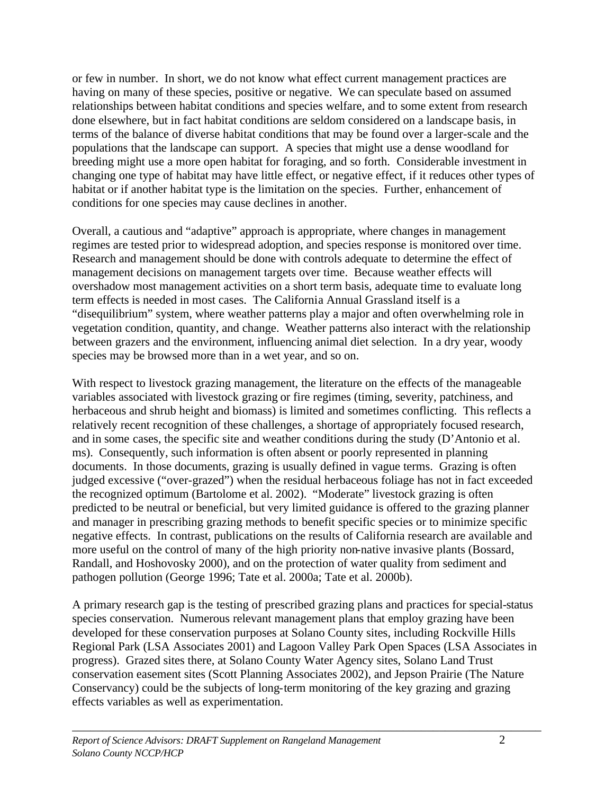or few in number. In short, we do not know what effect current management practices are having on many of these species, positive or negative. We can speculate based on assumed relationships between habitat conditions and species welfare, and to some extent from research done elsewhere, but in fact habitat conditions are seldom considered on a landscape basis, in terms of the balance of diverse habitat conditions that may be found over a larger-scale and the populations that the landscape can support. A species that might use a dense woodland for breeding might use a more open habitat for foraging, and so forth. Considerable investment in changing one type of habitat may have little effect, or negative effect, if it reduces other types of habitat or if another habitat type is the limitation on the species. Further, enhancement of conditions for one species may cause declines in another.

Overall, a cautious and "adaptive" approach is appropriate, where changes in management regimes are tested prior to widespread adoption, and species response is monitored over time. Research and management should be done with controls adequate to determine the effect of management decisions on management targets over time. Because weather effects will overshadow most management activities on a short term basis, adequate time to evaluate long term effects is needed in most cases. The California Annual Grassland itself is a "disequilibrium" system, where weather patterns play a major and often overwhelming role in vegetation condition, quantity, and change. Weather patterns also interact with the relationship between grazers and the environment, influencing animal diet selection. In a dry year, woody species may be browsed more than in a wet year, and so on.

With respect to livestock grazing management, the literature on the effects of the manageable variables associated with livestock grazing or fire regimes (timing, severity, patchiness, and herbaceous and shrub height and biomass) is limited and sometimes conflicting. This reflects a relatively recent recognition of these challenges, a shortage of appropriately focused research, and in some cases, the specific site and weather conditions during the study (D'Antonio et al. ms). Consequently, such information is often absent or poorly represented in planning documents. In those documents, grazing is usually defined in vague terms. Grazing is often judged excessive ("over-grazed") when the residual herbaceous foliage has not in fact exceeded the recognized optimum (Bartolome et al. 2002). "Moderate" livestock grazing is often predicted to be neutral or beneficial, but very limited guidance is offered to the grazing planner and manager in prescribing grazing methods to benefit specific species or to minimize specific negative effects. In contrast, publications on the results of California research are available and more useful on the control of many of the high priority non-native invasive plants (Bossard, Randall, and Hoshovosky 2000), and on the protection of water quality from sediment and pathogen pollution (George 1996; Tate et al. 2000a; Tate et al. 2000b).

A primary research gap is the testing of prescribed grazing plans and practices for special-status species conservation. Numerous relevant management plans that employ grazing have been developed for these conservation purposes at Solano County sites, including Rockville Hills Regional Park (LSA Associates 2001) and Lagoon Valley Park Open Spaces (LSA Associates in progress). Grazed sites there, at Solano County Water Agency sites, Solano Land Trust conservation easement sites (Scott Planning Associates 2002), and Jepson Prairie (The Nature Conservancy) could be the subjects of long-term monitoring of the key grazing and grazing effects variables as well as experimentation.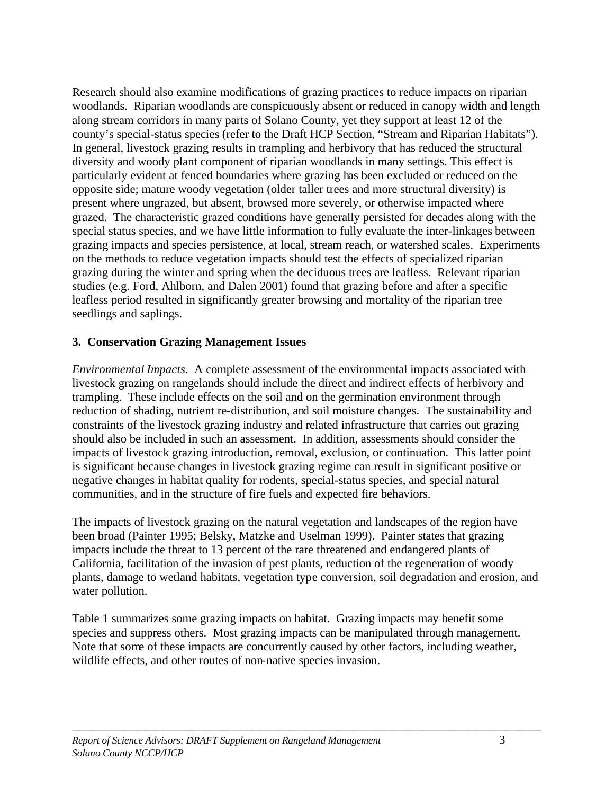Research should also examine modifications of grazing practices to reduce impacts on riparian woodlands. Riparian woodlands are conspicuously absent or reduced in canopy width and length along stream corridors in many parts of Solano County, yet they support at least 12 of the county's special-status species (refer to the Draft HCP Section, "Stream and Riparian Habitats"). In general, livestock grazing results in trampling and herbivory that has reduced the structural diversity and woody plant component of riparian woodlands in many settings. This effect is particularly evident at fenced boundaries where grazing has been excluded or reduced on the opposite side; mature woody vegetation (older taller trees and more structural diversity) is present where ungrazed, but absent, browsed more severely, or otherwise impacted where grazed. The characteristic grazed conditions have generally persisted for decades along with the special status species, and we have little information to fully evaluate the inter-linkages between grazing impacts and species persistence, at local, stream reach, or watershed scales. Experiments on the methods to reduce vegetation impacts should test the effects of specialized riparian grazing during the winter and spring when the deciduous trees are leafless. Relevant riparian studies (e.g. Ford, Ahlborn, and Dalen 2001) found that grazing before and after a specific leafless period resulted in significantly greater browsing and mortality of the riparian tree seedlings and saplings.

## **3. Conservation Grazing Management Issues**

*Environmental Impacts*. A complete assessment of the environmental impacts associated with livestock grazing on rangelands should include the direct and indirect effects of herbivory and trampling. These include effects on the soil and on the germination environment through reduction of shading, nutrient re-distribution, and soil moisture changes. The sustainability and constraints of the livestock grazing industry and related infrastructure that carries out grazing should also be included in such an assessment. In addition, assessments should consider the impacts of livestock grazing introduction, removal, exclusion, or continuation. This latter point is significant because changes in livestock grazing regime can result in significant positive or negative changes in habitat quality for rodents, special-status species, and special natural communities, and in the structure of fire fuels and expected fire behaviors.

The impacts of livestock grazing on the natural vegetation and landscapes of the region have been broad (Painter 1995; Belsky, Matzke and Uselman 1999). Painter states that grazing impacts include the threat to 13 percent of the rare threatened and endangered plants of California, facilitation of the invasion of pest plants, reduction of the regeneration of woody plants, damage to wetland habitats, vegetation type conversion, soil degradation and erosion, and water pollution.

Table 1 summarizes some grazing impacts on habitat. Grazing impacts may benefit some species and suppress others. Most grazing impacts can be manipulated through management. Note that some of these impacts are concurrently caused by other factors, including weather, wildlife effects, and other routes of non-native species invasion.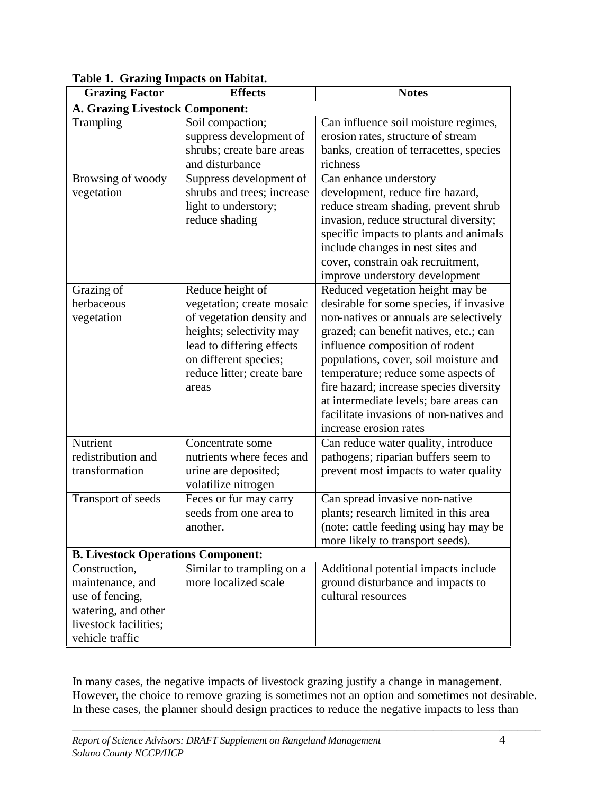| <b>Grazing Factor</b>                                                                                                   | <b>Effects</b>                                                                                                                                                                                      | <b>Notes</b>                                                                                                                                                                                                                                                                                                                                                                                                                                 |
|-------------------------------------------------------------------------------------------------------------------------|-----------------------------------------------------------------------------------------------------------------------------------------------------------------------------------------------------|----------------------------------------------------------------------------------------------------------------------------------------------------------------------------------------------------------------------------------------------------------------------------------------------------------------------------------------------------------------------------------------------------------------------------------------------|
| A. Grazing Livestock Component:                                                                                         |                                                                                                                                                                                                     |                                                                                                                                                                                                                                                                                                                                                                                                                                              |
| Trampling                                                                                                               | Soil compaction;<br>suppress development of<br>shrubs; create bare areas<br>and disturbance                                                                                                         | Can influence soil moisture regimes,<br>erosion rates, structure of stream<br>banks, creation of terracettes, species<br>richness                                                                                                                                                                                                                                                                                                            |
| Browsing of woody<br>vegetation                                                                                         | Suppress development of<br>shrubs and trees; increase<br>light to understory;<br>reduce shading                                                                                                     | Can enhance understory<br>development, reduce fire hazard,<br>reduce stream shading, prevent shrub<br>invasion, reduce structural diversity;<br>specific impacts to plants and animals<br>include changes in nest sites and<br>cover, constrain oak recruitment,<br>improve understory development                                                                                                                                           |
| Grazing of<br>herbaceous<br>vegetation                                                                                  | Reduce height of<br>vegetation; create mosaic<br>of vegetation density and<br>heights; selectivity may<br>lead to differing effects<br>on different species;<br>reduce litter; create bare<br>areas | Reduced vegetation height may be<br>desirable for some species, if invasive<br>non-natives or annuals are selectively<br>grazed; can benefit natives, etc.; can<br>influence composition of rodent<br>populations, cover, soil moisture and<br>temperature; reduce some aspects of<br>fire hazard; increase species diversity<br>at intermediate levels; bare areas can<br>facilitate invasions of non-natives and<br>increase erosion rates |
| Nutrient<br>redistribution and<br>transformation                                                                        | Concentrate some<br>nutrients where feces and<br>urine are deposited;<br>volatilize nitrogen                                                                                                        | Can reduce water quality, introduce<br>pathogens; riparian buffers seem to<br>prevent most impacts to water quality                                                                                                                                                                                                                                                                                                                          |
| Transport of seeds                                                                                                      | Feces or fur may carry<br>seeds from one area to<br>another.                                                                                                                                        | Can spread invasive non-native<br>plants; research limited in this area<br>(note: cattle feeding using hay may be<br>more likely to transport seeds).                                                                                                                                                                                                                                                                                        |
| <b>B. Livestock Operations Component:</b>                                                                               |                                                                                                                                                                                                     |                                                                                                                                                                                                                                                                                                                                                                                                                                              |
| Construction,<br>maintenance, and<br>use of fencing,<br>watering, and other<br>livestock facilities;<br>vehicle traffic | Similar to trampling on a<br>more localized scale                                                                                                                                                   | Additional potential impacts include<br>ground disturbance and impacts to<br>cultural resources                                                                                                                                                                                                                                                                                                                                              |

# **Table 1. Grazing Impacts on Habitat.**

In many cases, the negative impacts of livestock grazing justify a change in management. However, the choice to remove grazing is sometimes not an option and sometimes not desirable. In these cases, the planner should design practices to reduce the negative impacts to less than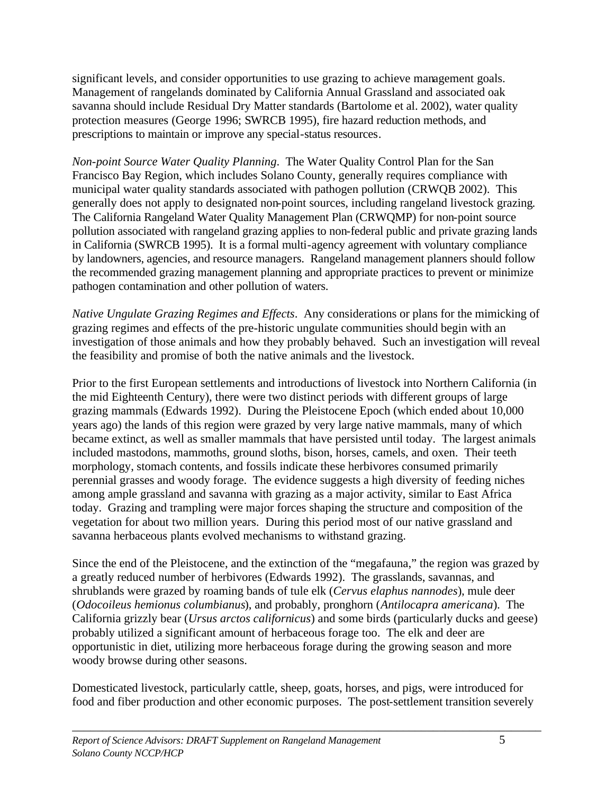significant levels, and consider opportunities to use grazing to achieve management goals. Management of rangelands dominated by California Annual Grassland and associated oak savanna should include Residual Dry Matter standards (Bartolome et al. 2002), water quality protection measures (George 1996; SWRCB 1995), fire hazard reduction methods, and prescriptions to maintain or improve any special-status resources.

*Non-point Source Water Quality Planning*. The Water Quality Control Plan for the San Francisco Bay Region, which includes Solano County, generally requires compliance with municipal water quality standards associated with pathogen pollution (CRWQB 2002). This generally does not apply to designated non-point sources, including rangeland livestock grazing. The California Rangeland Water Quality Management Plan (CRWQMP) for non-point source pollution associated with rangeland grazing applies to non-federal public and private grazing lands in California (SWRCB 1995). It is a formal multi-agency agreement with voluntary compliance by landowners, agencies, and resource managers. Rangeland management planners should follow the recommended grazing management planning and appropriate practices to prevent or minimize pathogen contamination and other pollution of waters.

*Native Ungulate Grazing Regimes and Effects*. Any considerations or plans for the mimicking of grazing regimes and effects of the pre-historic ungulate communities should begin with an investigation of those animals and how they probably behaved. Such an investigation will reveal the feasibility and promise of both the native animals and the livestock.

Prior to the first European settlements and introductions of livestock into Northern California (in the mid Eighteenth Century), there were two distinct periods with different groups of large grazing mammals (Edwards 1992). During the Pleistocene Epoch (which ended about 10,000 years ago) the lands of this region were grazed by very large native mammals, many of which became extinct, as well as smaller mammals that have persisted until today. The largest animals included mastodons, mammoths, ground sloths, bison, horses, camels, and oxen. Their teeth morphology, stomach contents, and fossils indicate these herbivores consumed primarily perennial grasses and woody forage. The evidence suggests a high diversity of feeding niches among ample grassland and savanna with grazing as a major activity, similar to East Africa today. Grazing and trampling were major forces shaping the structure and composition of the vegetation for about two million years. During this period most of our native grassland and savanna herbaceous plants evolved mechanisms to withstand grazing.

Since the end of the Pleistocene, and the extinction of the "megafauna," the region was grazed by a greatly reduced number of herbivores (Edwards 1992). The grasslands, savannas, and shrublands were grazed by roaming bands of tule elk (*Cervus elaphus nannodes*), mule deer (*Odocoileus hemionus columbianus*), and probably, pronghorn (*Antilocapra americana*). The California grizzly bear (*Ursus arctos californicus*) and some birds (particularly ducks and geese) probably utilized a significant amount of herbaceous forage too. The elk and deer are opportunistic in diet, utilizing more herbaceous forage during the growing season and more woody browse during other seasons.

Domesticated livestock, particularly cattle, sheep, goats, horses, and pigs, were introduced for food and fiber production and other economic purposes. The post-settlement transition severely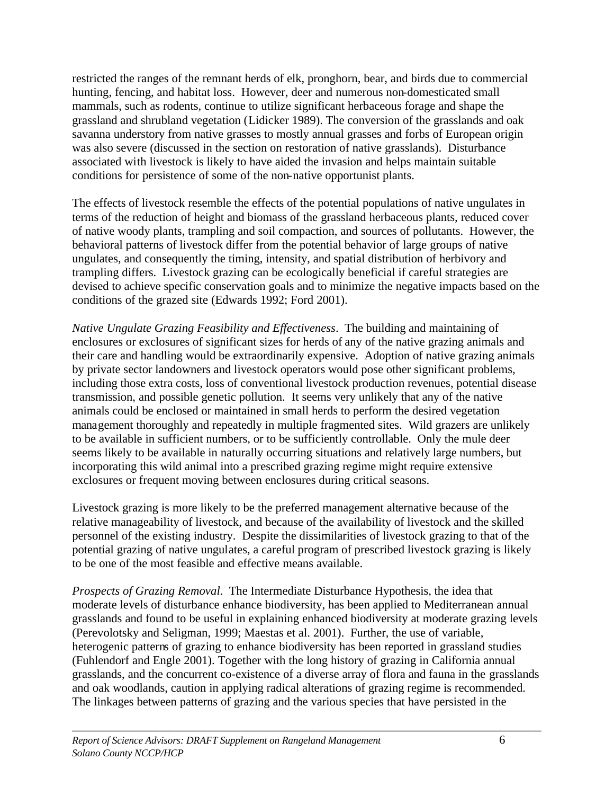restricted the ranges of the remnant herds of elk, pronghorn, bear, and birds due to commercial hunting, fencing, and habitat loss. However, deer and numerous non-domesticated small mammals, such as rodents, continue to utilize significant herbaceous forage and shape the grassland and shrubland vegetation (Lidicker 1989). The conversion of the grasslands and oak savanna understory from native grasses to mostly annual grasses and forbs of European origin was also severe (discussed in the section on restoration of native grasslands). Disturbance associated with livestock is likely to have aided the invasion and helps maintain suitable conditions for persistence of some of the non-native opportunist plants.

The effects of livestock resemble the effects of the potential populations of native ungulates in terms of the reduction of height and biomass of the grassland herbaceous plants, reduced cover of native woody plants, trampling and soil compaction, and sources of pollutants. However, the behavioral patterns of livestock differ from the potential behavior of large groups of native ungulates, and consequently the timing, intensity, and spatial distribution of herbivory and trampling differs. Livestock grazing can be ecologically beneficial if careful strategies are devised to achieve specific conservation goals and to minimize the negative impacts based on the conditions of the grazed site (Edwards 1992; Ford 2001).

*Native Ungulate Grazing Feasibility and Effectiveness*. The building and maintaining of enclosures or exclosures of significant sizes for herds of any of the native grazing animals and their care and handling would be extraordinarily expensive. Adoption of native grazing animals by private sector landowners and livestock operators would pose other significant problems, including those extra costs, loss of conventional livestock production revenues, potential disease transmission, and possible genetic pollution. It seems very unlikely that any of the native animals could be enclosed or maintained in small herds to perform the desired vegetation management thoroughly and repeatedly in multiple fragmented sites. Wild grazers are unlikely to be available in sufficient numbers, or to be sufficiently controllable. Only the mule deer seems likely to be available in naturally occurring situations and relatively large numbers, but incorporating this wild animal into a prescribed grazing regime might require extensive exclosures or frequent moving between enclosures during critical seasons.

Livestock grazing is more likely to be the preferred management alternative because of the relative manageability of livestock, and because of the availability of livestock and the skilled personnel of the existing industry. Despite the dissimilarities of livestock grazing to that of the potential grazing of native ungulates, a careful program of prescribed livestock grazing is likely to be one of the most feasible and effective means available.

*Prospects of Grazing Removal*. The Intermediate Disturbance Hypothesis, the idea that moderate levels of disturbance enhance biodiversity, has been applied to Mediterranean annual grasslands and found to be useful in explaining enhanced biodiversity at moderate grazing levels (Perevolotsky and Seligman, 1999; Maestas et al. 2001). Further, the use of variable, heterogenic patterns of grazing to enhance biodiversity has been reported in grassland studies (Fuhlendorf and Engle 2001). Together with the long history of grazing in California annual grasslands, and the concurrent co-existence of a diverse array of flora and fauna in the grasslands and oak woodlands, caution in applying radical alterations of grazing regime is recommended. The linkages between patterns of grazing and the various species that have persisted in the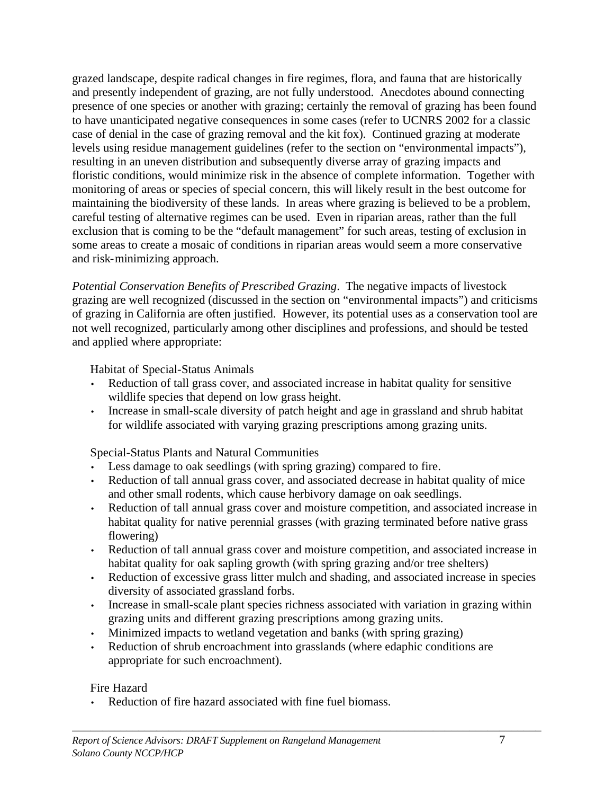grazed landscape, despite radical changes in fire regimes, flora, and fauna that are historically and presently independent of grazing, are not fully understood. Anecdotes abound connecting presence of one species or another with grazing; certainly the removal of grazing has been found to have unanticipated negative consequences in some cases (refer to UCNRS 2002 for a classic case of denial in the case of grazing removal and the kit fox). Continued grazing at moderate levels using residue management guidelines (refer to the section on "environmental impacts"), resulting in an uneven distribution and subsequently diverse array of grazing impacts and floristic conditions, would minimize risk in the absence of complete information. Together with monitoring of areas or species of special concern, this will likely result in the best outcome for maintaining the biodiversity of these lands. In areas where grazing is believed to be a problem, careful testing of alternative regimes can be used. Even in riparian areas, rather than the full exclusion that is coming to be the "default management" for such areas, testing of exclusion in some areas to create a mosaic of conditions in riparian areas would seem a more conservative and risk-minimizing approach.

*Potential Conservation Benefits of Prescribed Grazing*. The negative impacts of livestock grazing are well recognized (discussed in the section on "environmental impacts") and criticisms of grazing in California are often justified. However, its potential uses as a conservation tool are not well recognized, particularly among other disciplines and professions, and should be tested and applied where appropriate:

Habitat of Special-Status Animals

- Reduction of tall grass cover, and associated increase in habitat quality for sensitive wildlife species that depend on low grass height.
- Increase in small-scale diversity of patch height and age in grassland and shrub habitat for wildlife associated with varying grazing prescriptions among grazing units.

Special-Status Plants and Natural Communities

- Less damage to oak seedlings (with spring grazing) compared to fire.
- Reduction of tall annual grass cover, and associated decrease in habitat quality of mice and other small rodents, which cause herbivory damage on oak seedlings.
- Reduction of tall annual grass cover and moisture competition, and associated increase in habitat quality for native perennial grasses (with grazing terminated before native grass flowering)
- Reduction of tall annual grass cover and moisture competition, and associated increase in habitat quality for oak sapling growth (with spring grazing and/or tree shelters)
- Reduction of excessive grass litter mulch and shading, and associated increase in species diversity of associated grassland forbs.
- Increase in small-scale plant species richness associated with variation in grazing within grazing units and different grazing prescriptions among grazing units.
- Minimized impacts to wetland vegetation and banks (with spring grazing)
- Reduction of shrub encroachment into grasslands (where edaphic conditions are appropriate for such encroachment).

# Fire Hazard

Reduction of fire hazard associated with fine fuel biomass.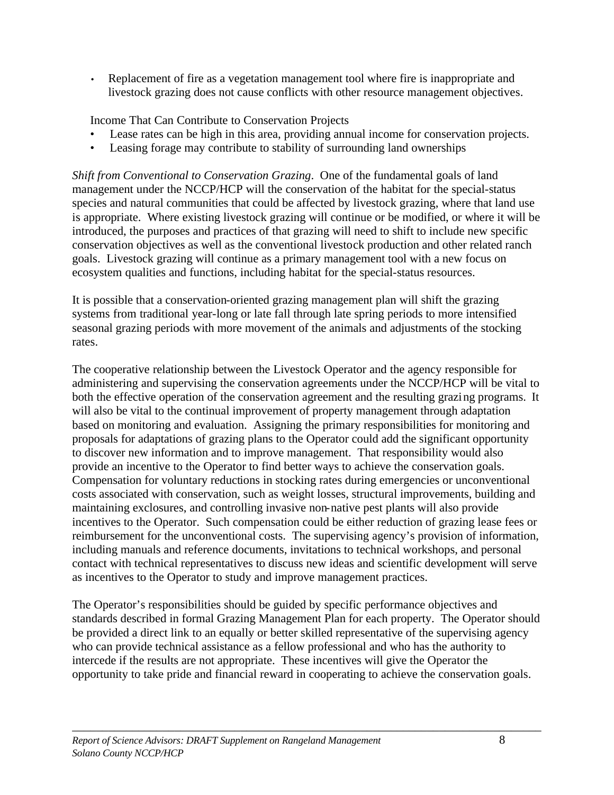• Replacement of fire as a vegetation management tool where fire is inappropriate and livestock grazing does not cause conflicts with other resource management objectives.

Income That Can Contribute to Conservation Projects

- Lease rates can be high in this area, providing annual income for conservation projects.
- Leasing forage may contribute to stability of surrounding land ownerships

*Shift from Conventional to Conservation Grazing*. One of the fundamental goals of land management under the NCCP/HCP will the conservation of the habitat for the special-status species and natural communities that could be affected by livestock grazing, where that land use is appropriate. Where existing livestock grazing will continue or be modified, or where it will be introduced, the purposes and practices of that grazing will need to shift to include new specific conservation objectives as well as the conventional livestock production and other related ranch goals. Livestock grazing will continue as a primary management tool with a new focus on ecosystem qualities and functions, including habitat for the special-status resources.

It is possible that a conservation-oriented grazing management plan will shift the grazing systems from traditional year-long or late fall through late spring periods to more intensified seasonal grazing periods with more movement of the animals and adjustments of the stocking rates.

The cooperative relationship between the Livestock Operator and the agency responsible for administering and supervising the conservation agreements under the NCCP/HCP will be vital to both the effective operation of the conservation agreement and the resulting grazing programs. It will also be vital to the continual improvement of property management through adaptation based on monitoring and evaluation. Assigning the primary responsibilities for monitoring and proposals for adaptations of grazing plans to the Operator could add the significant opportunity to discover new information and to improve management. That responsibility would also provide an incentive to the Operator to find better ways to achieve the conservation goals. Compensation for voluntary reductions in stocking rates during emergencies or unconventional costs associated with conservation, such as weight losses, structural improvements, building and maintaining exclosures, and controlling invasive non-native pest plants will also provide incentives to the Operator. Such compensation could be either reduction of grazing lease fees or reimbursement for the unconventional costs. The supervising agency's provision of information, including manuals and reference documents, invitations to technical workshops, and personal contact with technical representatives to discuss new ideas and scientific development will serve as incentives to the Operator to study and improve management practices.

The Operator's responsibilities should be guided by specific performance objectives and standards described in formal Grazing Management Plan for each property. The Operator should be provided a direct link to an equally or better skilled representative of the supervising agency who can provide technical assistance as a fellow professional and who has the authority to intercede if the results are not appropriate. These incentives will give the Operator the opportunity to take pride and financial reward in cooperating to achieve the conservation goals.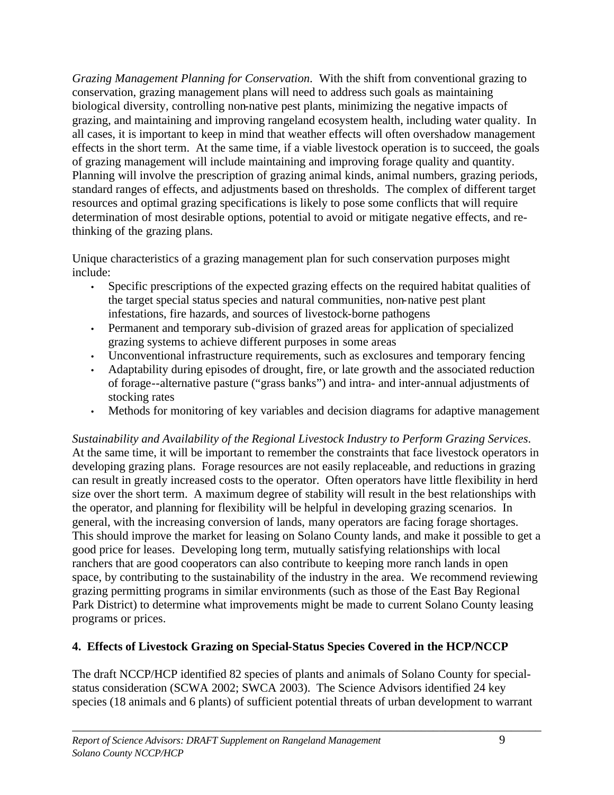*Grazing Management Planning for Conservation*. With the shift from conventional grazing to conservation, grazing management plans will need to address such goals as maintaining biological diversity, controlling non-native pest plants, minimizing the negative impacts of grazing, and maintaining and improving rangeland ecosystem health, including water quality. In all cases, it is important to keep in mind that weather effects will often overshadow management effects in the short term. At the same time, if a viable livestock operation is to succeed, the goals of grazing management will include maintaining and improving forage quality and quantity. Planning will involve the prescription of grazing animal kinds, animal numbers, grazing periods, standard ranges of effects, and adjustments based on thresholds. The complex of different target resources and optimal grazing specifications is likely to pose some conflicts that will require determination of most desirable options, potential to avoid or mitigate negative effects, and rethinking of the grazing plans.

Unique characteristics of a grazing management plan for such conservation purposes might include:

- Specific prescriptions of the expected grazing effects on the required habitat qualities of the target special status species and natural communities, non-native pest plant infestations, fire hazards, and sources of livestock-borne pathogens
- Permanent and temporary sub-division of grazed areas for application of specialized grazing systems to achieve different purposes in some areas
- Unconventional infrastructure requirements, such as exclosures and temporary fencing
- Adaptability during episodes of drought, fire, or late growth and the associated reduction of forage--alternative pasture ("grass banks") and intra- and inter-annual adjustments of stocking rates
- Methods for monitoring of key variables and decision diagrams for adaptive management

*Sustainability and Availability of the Regional Livestock Industry to Perform Grazing Services*. At the same time, it will be important to remember the constraints that face livestock operators in developing grazing plans. Forage resources are not easily replaceable, and reductions in grazing can result in greatly increased costs to the operator. Often operators have little flexibility in herd size over the short term. A maximum degree of stability will result in the best relationships with the operator, and planning for flexibility will be helpful in developing grazing scenarios. In general, with the increasing conversion of lands, many operators are facing forage shortages. This should improve the market for leasing on Solano County lands, and make it possible to get a good price for leases. Developing long term, mutually satisfying relationships with local ranchers that are good cooperators can also contribute to keeping more ranch lands in open space, by contributing to the sustainability of the industry in the area. We recommend reviewing grazing permitting programs in similar environments (such as those of the East Bay Regional Park District) to determine what improvements might be made to current Solano County leasing programs or prices.

# **4. Effects of Livestock Grazing on Special-Status Species Covered in the HCP/NCCP**

The draft NCCP/HCP identified 82 species of plants and animals of Solano County for specialstatus consideration (SCWA 2002; SWCA 2003). The Science Advisors identified 24 key species (18 animals and 6 plants) of sufficient potential threats of urban development to warrant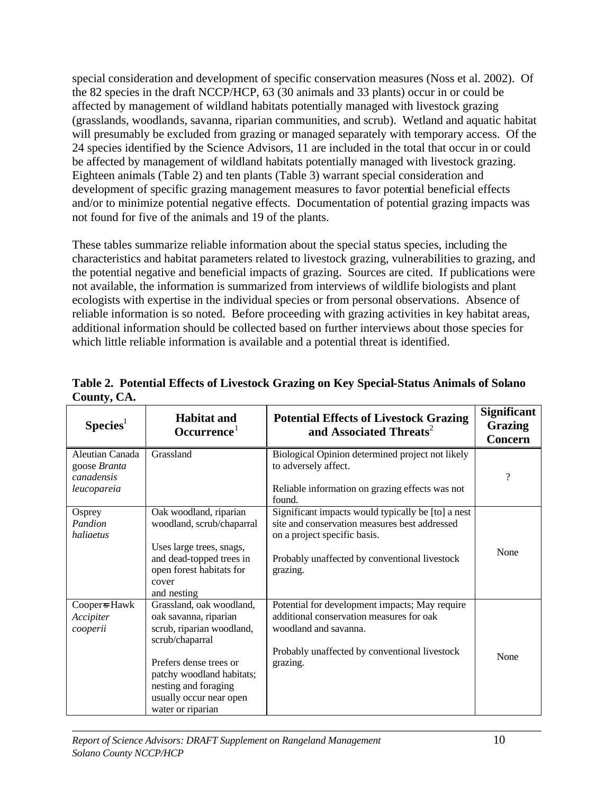special consideration and development of specific conservation measures (Noss et al. 2002). Of the 82 species in the draft NCCP/HCP, 63 (30 animals and 33 plants) occur in or could be affected by management of wildland habitats potentially managed with livestock grazing (grasslands, woodlands, savanna, riparian communities, and scrub). Wetland and aquatic habitat will presumably be excluded from grazing or managed separately with temporary access. Of the 24 species identified by the Science Advisors, 11 are included in the total that occur in or could be affected by management of wildland habitats potentially managed with livestock grazing. Eighteen animals (Table 2) and ten plants (Table 3) warrant special consideration and development of specific grazing management measures to favor potential beneficial effects and/or to minimize potential negative effects. Documentation of potential grazing impacts was not found for five of the animals and 19 of the plants.

These tables summarize reliable information about the special status species, including the characteristics and habitat parameters related to livestock grazing, vulnerabilities to grazing, and the potential negative and beneficial impacts of grazing. Sources are cited. If publications were not available, the information is summarized from interviews of wildlife biologists and plant ecologists with expertise in the individual species or from personal observations. Absence of reliable information is so noted. Before proceeding with grazing activities in key habitat areas, additional information should be collected based on further interviews about those species for which little reliable information is available and a potential threat is identified.

| $S$ pecies <sup>1</sup>                                      | <b>Habitat and</b><br>Occurrence <sup>1</sup>                                                                                                                                                                                    | <b>Potential Effects of Livestock Grazing</b><br>and Associated Threats <sup>2</sup>                                                                                                             | <b>Significant</b><br><b>Grazing</b><br><b>Concern</b> |
|--------------------------------------------------------------|----------------------------------------------------------------------------------------------------------------------------------------------------------------------------------------------------------------------------------|--------------------------------------------------------------------------------------------------------------------------------------------------------------------------------------------------|--------------------------------------------------------|
| Aleutian Canada<br>goose Branta<br>canadensis<br>leucopareia | Grassland                                                                                                                                                                                                                        | Biological Opinion determined project not likely<br>to adversely affect.<br>Reliable information on grazing effects was not<br>found.                                                            | $\gamma$                                               |
| Osprey<br>Pandion<br>haliaetus                               | Oak woodland, riparian<br>woodland, scrub/chaparral<br>Uses large trees, snags,<br>and dead-topped trees in<br>open forest habitats for<br>cover<br>and nesting                                                                  | Significant impacts would typically be [to] a nest<br>site and conservation measures best addressed<br>on a project specific basis.<br>Probably unaffected by conventional livestock<br>grazing. | None                                                   |
| Coopers Hawk<br>Accipiter<br>cooperii                        | Grassland, oak woodland,<br>oak savanna, riparian<br>scrub, riparian woodland,<br>scrub/chaparral<br>Prefers dense trees or<br>patchy woodland habitats;<br>nesting and foraging<br>usually occur near open<br>water or riparian | Potential for development impacts; May require<br>additional conservation measures for oak<br>woodland and savanna.<br>Probably unaffected by conventional livestock<br>grazing.                 | None                                                   |

**Table 2. Potential Effects of Livestock Grazing on Key Special-Status Animals of Solano County, CA.**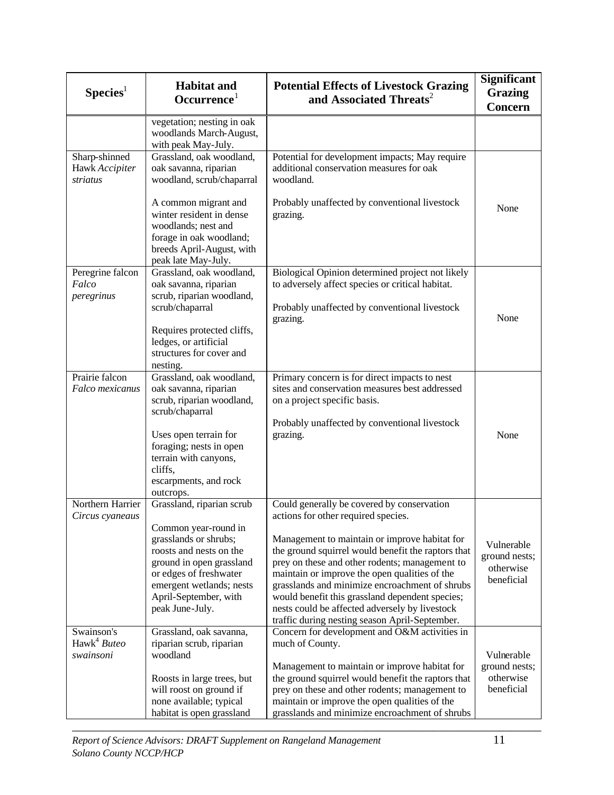| $S$ pecies <sup>1</sup>                            | <b>Habitat and</b><br>Occurrence <sup>1</sup>                                                                                                                                                                                       | <b>Potential Effects of Livestock Grazing</b><br>and Associated Threats <sup>2</sup>                                                                                                                                                                                                                                                                                                                                                                                                                 | Significant<br><b>Grazing</b><br><b>Concern</b>        |
|----------------------------------------------------|-------------------------------------------------------------------------------------------------------------------------------------------------------------------------------------------------------------------------------------|------------------------------------------------------------------------------------------------------------------------------------------------------------------------------------------------------------------------------------------------------------------------------------------------------------------------------------------------------------------------------------------------------------------------------------------------------------------------------------------------------|--------------------------------------------------------|
|                                                    | vegetation; nesting in oak<br>woodlands March-August,<br>with peak May-July.                                                                                                                                                        |                                                                                                                                                                                                                                                                                                                                                                                                                                                                                                      |                                                        |
| Sharp-shinned<br>Hawk Accipiter<br>striatus        | Grassland, oak woodland,<br>oak savanna, riparian<br>woodland, scrub/chaparral                                                                                                                                                      | Potential for development impacts; May require<br>additional conservation measures for oak<br>woodland.                                                                                                                                                                                                                                                                                                                                                                                              |                                                        |
|                                                    | A common migrant and<br>winter resident in dense<br>woodlands; nest and<br>forage in oak woodland;<br>breeds April-August, with<br>peak late May-July.                                                                              | Probably unaffected by conventional livestock<br>grazing.                                                                                                                                                                                                                                                                                                                                                                                                                                            | None                                                   |
| Peregrine falcon<br>Falco<br>peregrinus            | Grassland, oak woodland,<br>oak savanna, riparian<br>scrub, riparian woodland,                                                                                                                                                      | Biological Opinion determined project not likely<br>to adversely affect species or critical habitat.                                                                                                                                                                                                                                                                                                                                                                                                 |                                                        |
|                                                    | scrub/chaparral<br>Requires protected cliffs,<br>ledges, or artificial<br>structures for cover and<br>nesting.                                                                                                                      | Probably unaffected by conventional livestock<br>grazing.                                                                                                                                                                                                                                                                                                                                                                                                                                            | None                                                   |
| Prairie falcon<br>Falco mexicanus                  | Grassland, oak woodland,<br>oak savanna, riparian<br>scrub, riparian woodland,<br>scrub/chaparral<br>Uses open terrain for<br>foraging; nests in open<br>terrain with canyons,<br>cliffs,<br>escarpments, and rock<br>outcrops.     | Primary concern is for direct impacts to nest<br>sites and conservation measures best addressed<br>on a project specific basis.<br>Probably unaffected by conventional livestock<br>grazing.                                                                                                                                                                                                                                                                                                         | None                                                   |
| Northern Harrier<br>Circus cyaneaus                | Grassland, riparian scrub<br>Common year-round in<br>grasslands or shrubs;<br>roosts and nests on the<br>ground in open grassland<br>or edges of freshwater<br>emergent wetlands; nests<br>April-September, with<br>peak June-July. | Could generally be covered by conservation<br>actions for other required species.<br>Management to maintain or improve habitat for<br>the ground squirrel would benefit the raptors that<br>prey on these and other rodents; management to<br>maintain or improve the open qualities of the<br>grasslands and minimize encroachment of shrubs<br>would benefit this grassland dependent species;<br>nests could be affected adversely by livestock<br>traffic during nesting season April-September. | Vulnerable<br>ground nests;<br>otherwise<br>beneficial |
| Swainson's<br>Hawk <sup>4</sup> Buteo<br>swainsoni | Grassland, oak savanna,<br>riparian scrub, riparian<br>woodland<br>Roosts in large trees, but<br>will roost on ground if<br>none available; typical<br>habitat is open grassland                                                    | Concern for development and O&M activities in<br>much of County.<br>Management to maintain or improve habitat for<br>the ground squirrel would benefit the raptors that<br>prey on these and other rodents; management to<br>maintain or improve the open qualities of the<br>grasslands and minimize encroachment of shrubs                                                                                                                                                                         | Vulnerable<br>ground nests;<br>otherwise<br>beneficial |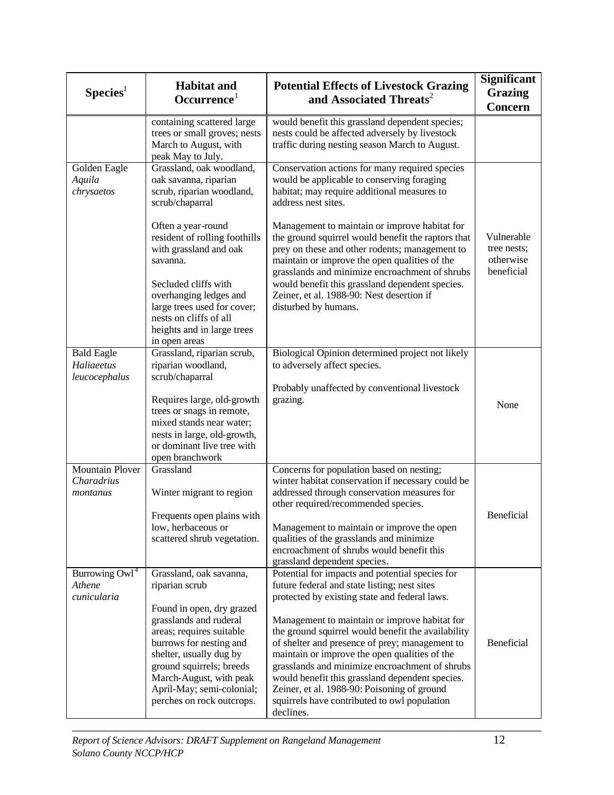| Species <sup>1</sup>                              | <b>Habitat and</b><br>Occurrence <sup>1</sup>                                                                                                                                                | <b>Potential Effects of Livestock Grazing</b><br>and Associated Threats <sup>2</sup>                                                                                                                                                                                                                                                                       | Significant<br><b>Grazing</b><br><b>Concern</b>      |
|---------------------------------------------------|----------------------------------------------------------------------------------------------------------------------------------------------------------------------------------------------|------------------------------------------------------------------------------------------------------------------------------------------------------------------------------------------------------------------------------------------------------------------------------------------------------------------------------------------------------------|------------------------------------------------------|
|                                                   | containing scattered large<br>trees or small groves; nests<br>March to August, with<br>peak May to July.                                                                                     | would benefit this grassland dependent species;<br>nests could be affected adversely by livestock<br>traffic during nesting season March to August.                                                                                                                                                                                                        |                                                      |
| Golden Eagle<br>Aquila<br>chrysaetos              | Grassland, oak woodland,<br>oak savanna, riparian<br>scrub, riparian woodland,<br>scrub/chaparral                                                                                            | Conservation actions for many required species<br>would be applicable to conserving foraging<br>habitat; may require additional measures to<br>address nest sites.                                                                                                                                                                                         |                                                      |
|                                                   | Often a year-round<br>resident of rolling foothills<br>with grassland and oak<br>savanna.<br>Secluded cliffs with<br>overhanging ledges and<br>large trees used for cover;                   | Management to maintain or improve habitat for<br>the ground squirrel would benefit the raptors that<br>prey on these and other rodents; management to<br>maintain or improve the open qualities of the<br>grasslands and minimize encroachment of shrubs<br>would benefit this grassland dependent species.<br>Zeiner, et al. 1988-90: Nest desertion if   | Vulnerable<br>tree nests;<br>otherwise<br>beneficial |
|                                                   | nests on cliffs of all<br>heights and in large trees<br>in open areas                                                                                                                        | disturbed by humans.                                                                                                                                                                                                                                                                                                                                       |                                                      |
| <b>Bald Eagle</b><br>Haliaeetus<br>leucocephalus  | Grassland, riparian scrub,<br>riparian woodland,<br>scrub/chaparral<br>Requires large, old-growth<br>trees or snags in remote,<br>mixed stands near water;                                   | Biological Opinion determined project not likely<br>to adversely affect species.<br>Probably unaffected by conventional livestock<br>grazing.                                                                                                                                                                                                              | None                                                 |
|                                                   | nests in large, old-growth,<br>or dominant live tree with<br>open branchwork                                                                                                                 |                                                                                                                                                                                                                                                                                                                                                            |                                                      |
| <b>Mountain Plover</b><br>Charadrius<br>montanus  | Grassland<br>Winter migrant to region                                                                                                                                                        | Concerns for population based on nesting;<br>winter habitat conservation if necessary could be<br>addressed through conservation measures for<br>other required/recommended species.                                                                                                                                                                       |                                                      |
|                                                   | Frequents open plains with<br>low, herbaceous or<br>scattered shrub vegetation.                                                                                                              | Management to maintain or improve the open<br>qualities of the grasslands and minimize<br>encroachment of shrubs would benefit this<br>grassland dependent species.                                                                                                                                                                                        | Beneficial                                           |
| Burrowing $\text{Ow1}^4$<br>Athene<br>cunicularia | Grassland, oak savanna,<br>riparian scrub<br>Found in open, dry grazed                                                                                                                       | Potential for impacts and potential species for<br>future federal and state listing; nest sites<br>protected by existing state and federal laws.                                                                                                                                                                                                           |                                                      |
|                                                   | grasslands and ruderal<br>areas; requires suitable<br>burrows for nesting and<br>shelter, usually dug by<br>ground squirrels; breeds<br>March-August, with peak<br>April-May; semi-colonial; | Management to maintain or improve habitat for<br>the ground squirrel would benefit the availability<br>of shelter and presence of prey; management to<br>maintain or improve the open qualities of the<br>grasslands and minimize encroachment of shrubs<br>would benefit this grassland dependent species.<br>Zeiner, et al. 1988-90: Poisoning of ground | Beneficial                                           |
|                                                   | perches on rock outcrops.                                                                                                                                                                    | squirrels have contributed to owl population<br>declines.                                                                                                                                                                                                                                                                                                  |                                                      |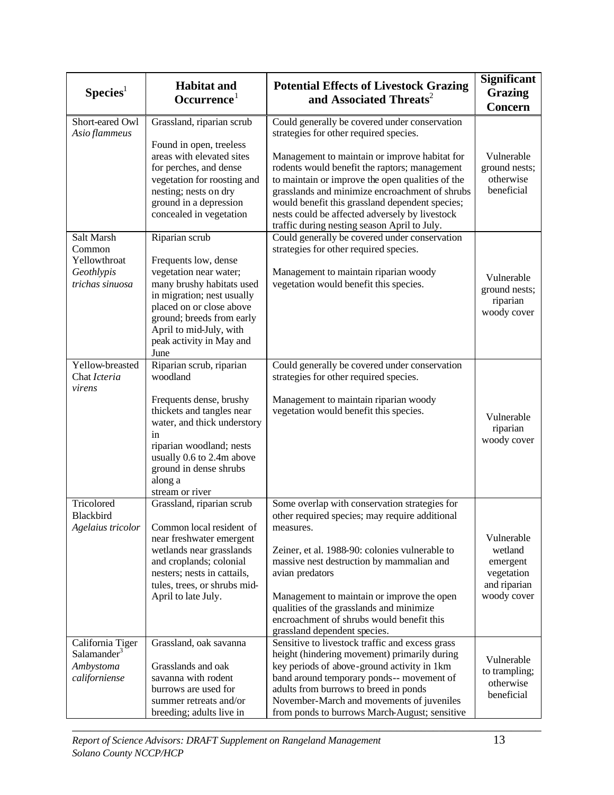| Species <sup>1</sup>                                                      | <b>Habitat and</b><br>Occurrence <sup>1</sup>                                                                                                                                                                                                       | <b>Potential Effects of Livestock Grazing</b><br>and Associated Threats <sup>2</sup>                                                                                                                                                                                                                                                                                                                                                                 | <b>Significant</b><br><b>Grazing</b><br><b>Concern</b>                         |
|---------------------------------------------------------------------------|-----------------------------------------------------------------------------------------------------------------------------------------------------------------------------------------------------------------------------------------------------|------------------------------------------------------------------------------------------------------------------------------------------------------------------------------------------------------------------------------------------------------------------------------------------------------------------------------------------------------------------------------------------------------------------------------------------------------|--------------------------------------------------------------------------------|
| Short-eared Owl<br>Asio flammeus                                          | Grassland, riparian scrub<br>Found in open, treeless<br>areas with elevated sites<br>for perches, and dense<br>vegetation for roosting and<br>nesting; nests on dry<br>ground in a depression<br>concealed in vegetation                            | Could generally be covered under conservation<br>strategies for other required species.<br>Management to maintain or improve habitat for<br>rodents would benefit the raptors; management<br>to maintain or improve the open qualities of the<br>grasslands and minimize encroachment of shrubs<br>would benefit this grassland dependent species;<br>nests could be affected adversely by livestock<br>traffic during nesting season April to July. | Vulnerable<br>ground nests;<br>otherwise<br>beneficial                         |
| Salt Marsh<br>Common<br>Yellowthroat<br>Geothlypis<br>trichas sinuosa     | Riparian scrub<br>Frequents low, dense<br>vegetation near water;<br>many brushy habitats used<br>in migration; nest usually<br>placed on or close above<br>ground; breeds from early<br>April to mid-July, with<br>peak activity in May and<br>June | Could generally be covered under conservation<br>strategies for other required species.<br>Management to maintain riparian woody<br>vegetation would benefit this species.                                                                                                                                                                                                                                                                           | Vulnerable<br>ground nests;<br>riparian<br>woody cover                         |
| Yellow-breasted<br>Chat Icteria<br>virens                                 | Riparian scrub, riparian<br>woodland<br>Frequents dense, brushy<br>thickets and tangles near<br>water, and thick understory<br>in<br>riparian woodland; nests<br>usually 0.6 to 2.4m above<br>ground in dense shrubs<br>along a<br>stream or river  | Could generally be covered under conservation<br>strategies for other required species.<br>Management to maintain riparian woody<br>vegetation would benefit this species.                                                                                                                                                                                                                                                                           | Vulnerable<br>riparian<br>woody cover                                          |
| Tricolored<br>Blackbird<br>Agelaius tricolor                              | Grassland, riparian scrub<br>Common local resident of<br>near freshwater emergent<br>wetlands near grasslands<br>and croplands; colonial<br>nesters; nests in cattails,<br>tules, trees, or shrubs mid-<br>April to late July.                      | Some overlap with conservation strategies for<br>other required species; may require additional<br>measures.<br>Zeiner, et al. 1988-90: colonies vulnerable to<br>massive nest destruction by mammalian and<br>avian predators<br>Management to maintain or improve the open<br>qualities of the grasslands and minimize<br>encroachment of shrubs would benefit this<br>grassland dependent species.                                                | Vulnerable<br>wetland<br>emergent<br>vegetation<br>and riparian<br>woody cover |
| California Tiger<br>Salamander <sup>3</sup><br>Ambystoma<br>californiense | Grassland, oak savanna<br>Grasslands and oak<br>savanna with rodent<br>burrows are used for<br>summer retreats and/or<br>breeding; adults live in                                                                                                   | Sensitive to livestock traffic and excess grass<br>height (hindering movement) primarily during<br>key periods of above-ground activity in 1km<br>band around temporary ponds-- movement of<br>adults from burrows to breed in ponds<br>November-March and movements of juveniles<br>from ponds to burrows March-August; sensitive                                                                                                                   | Vulnerable<br>to trampling;<br>otherwise<br>beneficial                         |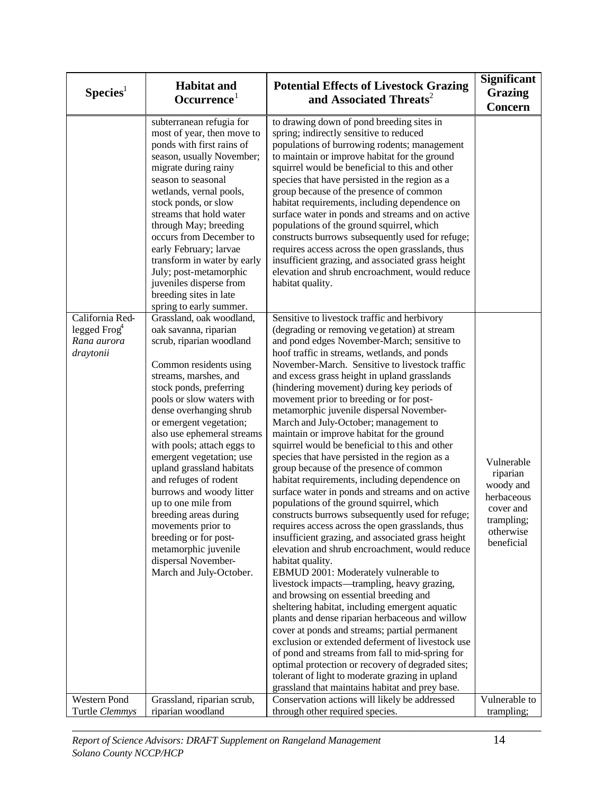| Species <sup>1</sup>                                          | <b>Habitat and</b><br>Occurrence <sup>1</sup>                                                                                                                                                                                                                                                                                                                                                                                                                                                                                                                                                     | <b>Potential Effects of Livestock Grazing</b><br>and Associated Threats <sup>2</sup>                                                                                                                                                                                                                                                                                                                                                                                                                                                                                                                                                                                                                                                                                                                                                                                                                                                                                                                                                                                                                                                                                                                                                                                                                                                                                                                                                                                                                                                                                                                                   | <b>Significant</b><br>Grazing<br><b>Concern</b>                                                         |
|---------------------------------------------------------------|---------------------------------------------------------------------------------------------------------------------------------------------------------------------------------------------------------------------------------------------------------------------------------------------------------------------------------------------------------------------------------------------------------------------------------------------------------------------------------------------------------------------------------------------------------------------------------------------------|------------------------------------------------------------------------------------------------------------------------------------------------------------------------------------------------------------------------------------------------------------------------------------------------------------------------------------------------------------------------------------------------------------------------------------------------------------------------------------------------------------------------------------------------------------------------------------------------------------------------------------------------------------------------------------------------------------------------------------------------------------------------------------------------------------------------------------------------------------------------------------------------------------------------------------------------------------------------------------------------------------------------------------------------------------------------------------------------------------------------------------------------------------------------------------------------------------------------------------------------------------------------------------------------------------------------------------------------------------------------------------------------------------------------------------------------------------------------------------------------------------------------------------------------------------------------------------------------------------------------|---------------------------------------------------------------------------------------------------------|
|                                                               | subterranean refugia for<br>most of year, then move to<br>ponds with first rains of<br>season, usually November;<br>migrate during rainy<br>season to seasonal<br>wetlands, vernal pools,<br>stock ponds, or slow<br>streams that hold water<br>through May; breeding<br>occurs from December to<br>early February; larvae<br>transform in water by early<br>July; post-metamorphic<br>juveniles disperse from<br>breeding sites in late<br>spring to early summer.                                                                                                                               | to drawing down of pond breeding sites in<br>spring; indirectly sensitive to reduced<br>populations of burrowing rodents; management<br>to maintain or improve habitat for the ground<br>squirrel would be beneficial to this and other<br>species that have persisted in the region as a<br>group because of the presence of common<br>habitat requirements, including dependence on<br>surface water in ponds and streams and on active<br>populations of the ground squirrel, which<br>constructs burrows subsequently used for refuge;<br>requires access across the open grasslands, thus<br>insufficient grazing, and associated grass height<br>elevation and shrub encroachment, would reduce<br>habitat quality.                                                                                                                                                                                                                                                                                                                                                                                                                                                                                                                                                                                                                                                                                                                                                                                                                                                                                              |                                                                                                         |
| California Red-<br>legged $Frog4$<br>Rana aurora<br>draytonii | Grassland, oak woodland,<br>oak savanna, riparian<br>scrub, riparian woodland<br>Common residents using<br>streams, marshes, and<br>stock ponds, preferring<br>pools or slow waters with<br>dense overhanging shrub<br>or emergent vegetation;<br>also use ephemeral streams<br>with pools; attach eggs to<br>emergent vegetation; use<br>upland grassland habitats<br>and refuges of rodent<br>burrows and woody litter<br>up to one mile from<br>breeding areas during<br>movements prior to<br>breeding or for post-<br>metamorphic juvenile<br>dispersal November-<br>March and July-October. | Sensitive to livestock traffic and herbivory<br>(degrading or removing vegetation) at stream<br>and pond edges November-March; sensitive to<br>hoof traffic in streams, wetlands, and ponds<br>November-March. Sensitive to livestock traffic<br>and excess grass height in upland grasslands<br>(hindering movement) during key periods of<br>movement prior to breeding or for post-<br>metamorphic juvenile dispersal November-<br>March and July-October; management to<br>maintain or improve habitat for the ground<br>squirrel would be beneficial to this and other<br>species that have persisted in the region as a<br>group because of the presence of common<br>habitat requirements, including dependence on<br>surface water in ponds and streams and on active<br>populations of the ground squirrel, which<br>constructs burrows subsequently used for refuge;<br>requires access across the open grasslands, thus<br>insufficient grazing, and associated grass height<br>elevation and shrub encroachment, would reduce<br>habitat quality.<br>EBMUD 2001: Moderately vulnerable to<br>livestock impacts—trampling, heavy grazing,<br>and browsing on essential breeding and<br>sheltering habitat, including emergent aquatic<br>plants and dense riparian herbaceous and willow<br>cover at ponds and streams; partial permanent<br>exclusion or extended deferment of livestock use<br>of pond and streams from fall to mid-spring for<br>optimal protection or recovery of degraded sites;<br>tolerant of light to moderate grazing in upland<br>grassland that maintains habitat and prey base. | Vulnerable<br>riparian<br>woody and<br>herbaceous<br>cover and<br>trampling;<br>otherwise<br>beneficial |
| Western Pond                                                  | Grassland, riparian scrub,                                                                                                                                                                                                                                                                                                                                                                                                                                                                                                                                                                        | Conservation actions will likely be addressed                                                                                                                                                                                                                                                                                                                                                                                                                                                                                                                                                                                                                                                                                                                                                                                                                                                                                                                                                                                                                                                                                                                                                                                                                                                                                                                                                                                                                                                                                                                                                                          | Vulnerable to                                                                                           |
| Turtle Clemmys                                                | riparian woodland                                                                                                                                                                                                                                                                                                                                                                                                                                                                                                                                                                                 | through other required species.                                                                                                                                                                                                                                                                                                                                                                                                                                                                                                                                                                                                                                                                                                                                                                                                                                                                                                                                                                                                                                                                                                                                                                                                                                                                                                                                                                                                                                                                                                                                                                                        | trampling;                                                                                              |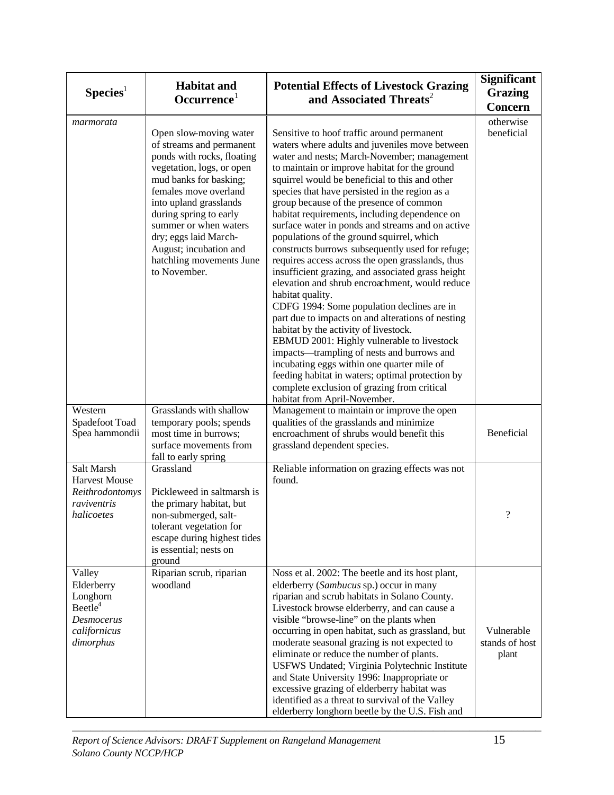| Species <sup>1</sup>                                                                                      | <b>Habitat and</b><br>Occurrence <sup>1</sup>                                                                                                                                                                                                                                                                                                | <b>Potential Effects of Livestock Grazing</b><br>and Associated Threats <sup>2</sup>                                                                                                                                                                                                                                                                                                                                                                                                                                                                                                                                                                                                                                                                                                                                                                                                                                                                                                                                                                                                                                                                      | <b>Significant</b><br><b>Grazing</b><br><b>Concern</b> |
|-----------------------------------------------------------------------------------------------------------|----------------------------------------------------------------------------------------------------------------------------------------------------------------------------------------------------------------------------------------------------------------------------------------------------------------------------------------------|-----------------------------------------------------------------------------------------------------------------------------------------------------------------------------------------------------------------------------------------------------------------------------------------------------------------------------------------------------------------------------------------------------------------------------------------------------------------------------------------------------------------------------------------------------------------------------------------------------------------------------------------------------------------------------------------------------------------------------------------------------------------------------------------------------------------------------------------------------------------------------------------------------------------------------------------------------------------------------------------------------------------------------------------------------------------------------------------------------------------------------------------------------------|--------------------------------------------------------|
| marmorata                                                                                                 | Open slow-moving water<br>of streams and permanent<br>ponds with rocks, floating<br>vegetation, logs, or open<br>mud banks for basking;<br>females move overland<br>into upland grasslands<br>during spring to early<br>summer or when waters<br>dry; eggs laid March-<br>August; incubation and<br>hatchling movements June<br>to November. | Sensitive to hoof traffic around permanent<br>waters where adults and juveniles move between<br>water and nests; March-November; management<br>to maintain or improve habitat for the ground<br>squirrel would be beneficial to this and other<br>species that have persisted in the region as a<br>group because of the presence of common<br>habitat requirements, including dependence on<br>surface water in ponds and streams and on active<br>populations of the ground squirrel, which<br>constructs burrows subsequently used for refuge;<br>requires access across the open grasslands, thus<br>insufficient grazing, and associated grass height<br>elevation and shrub encroachment, would reduce<br>habitat quality.<br>CDFG 1994: Some population declines are in<br>part due to impacts on and alterations of nesting<br>habitat by the activity of livestock.<br>EBMUD 2001: Highly vulnerable to livestock<br>impacts-trampling of nests and burrows and<br>incubating eggs within one quarter mile of<br>feeding habitat in waters; optimal protection by<br>complete exclusion of grazing from critical<br>habitat from April-November. | otherwise<br>beneficial                                |
| Western<br>Spadefoot Toad<br>Spea hammondii                                                               | Grasslands with shallow<br>temporary pools; spends<br>most time in burrows;<br>surface movements from<br>fall to early spring                                                                                                                                                                                                                | Management to maintain or improve the open<br>qualities of the grasslands and minimize<br>encroachment of shrubs would benefit this<br>grassland dependent species.                                                                                                                                                                                                                                                                                                                                                                                                                                                                                                                                                                                                                                                                                                                                                                                                                                                                                                                                                                                       | Beneficial                                             |
| Salt Marsh<br><b>Harvest Mouse</b><br>Reithrodontomys<br>raviventris<br>halicoetes                        | Grassland<br>Pickleweed in saltmarsh is<br>the primary habitat, but<br>non-submerged, salt-<br>tolerant vegetation for<br>escape during highest tides<br>is essential; nests on<br>ground                                                                                                                                                    | Reliable information on grazing effects was not<br>found.                                                                                                                                                                                                                                                                                                                                                                                                                                                                                                                                                                                                                                                                                                                                                                                                                                                                                                                                                                                                                                                                                                 | $\overline{\cdot}$                                     |
| Valley<br>Elderberry<br>Longhorn<br>Beetle <sup>4</sup><br><b>Desmocerus</b><br>californicus<br>dimorphus | Riparian scrub, riparian<br>woodland                                                                                                                                                                                                                                                                                                         | Noss et al. 2002: The beetle and its host plant,<br>elderberry (Sambucus sp.) occur in many<br>riparian and scrub habitats in Solano County.<br>Livestock browse elderberry, and can cause a<br>visible "browse-line" on the plants when<br>occurring in open habitat, such as grassland, but<br>moderate seasonal grazing is not expected to<br>eliminate or reduce the number of plants.<br>USFWS Undated; Virginia Polytechnic Institute<br>and State University 1996: Inappropriate or<br>excessive grazing of elderberry habitat was<br>identified as a threat to survival of the Valley<br>elderberry longhorn beetle by the U.S. Fish and                                                                                                                                                                                                                                                                                                                                                                                                                                                                                                          | Vulnerable<br>stands of host<br>plant                  |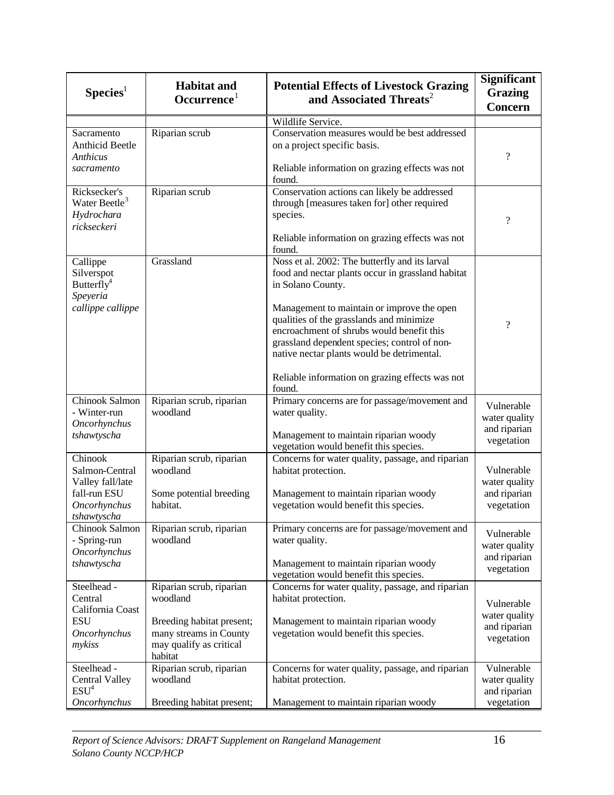| Species <sup>1</sup>                                                                                | <b>Habitat and</b><br>Occurrence <sup>1</sup>                                                                                     | <b>Potential Effects of Livestock Grazing</b><br>and Associated Threats <sup>2</sup>                                                                                                                                                                                                                                                                                                                                       | Significant<br><b>Grazing</b><br><b>Concern</b>           |
|-----------------------------------------------------------------------------------------------------|-----------------------------------------------------------------------------------------------------------------------------------|----------------------------------------------------------------------------------------------------------------------------------------------------------------------------------------------------------------------------------------------------------------------------------------------------------------------------------------------------------------------------------------------------------------------------|-----------------------------------------------------------|
|                                                                                                     |                                                                                                                                   | Wildlife Service.                                                                                                                                                                                                                                                                                                                                                                                                          |                                                           |
| Sacramento<br><b>Anthicid Beetle</b><br><b>Anthicus</b><br>sacramento                               | Riparian scrub                                                                                                                    | Conservation measures would be best addressed<br>on a project specific basis.<br>Reliable information on grazing effects was not<br>found.                                                                                                                                                                                                                                                                                 | $\overline{\mathcal{L}}$                                  |
| Ricksecker's<br>Water Beetle <sup>3</sup><br>Hydrochara<br>rickseckeri                              | Riparian scrub                                                                                                                    | Conservation actions can likely be addressed<br>through [measures taken for] other required<br>species.<br>Reliable information on grazing effects was not<br>found.                                                                                                                                                                                                                                                       | $\overline{\cdot}$                                        |
| Callippe<br>Silverspot<br>Butterfly <sup>4</sup><br>Speyeria<br>callippe callippe                   | Grassland                                                                                                                         | Noss et al. 2002: The butterfly and its larval<br>food and nectar plants occur in grassland habitat<br>in Solano County.<br>Management to maintain or improve the open<br>qualities of the grasslands and minimize<br>encroachment of shrubs would benefit this<br>grassland dependent species; control of non-<br>native nectar plants would be detrimental.<br>Reliable information on grazing effects was not<br>found. | $\overline{\cdot}$                                        |
| Chinook Salmon<br>- Winter-run<br><b>Oncorhynchus</b><br>tshawtyscha                                | Riparian scrub, riparian<br>woodland                                                                                              | Primary concerns are for passage/movement and<br>water quality.<br>Management to maintain riparian woody<br>vegetation would benefit this species.                                                                                                                                                                                                                                                                         | Vulnerable<br>water quality<br>and riparian<br>vegetation |
| Chinook<br>Salmon-Central<br>Valley fall/late<br>fall-run ESU<br><b>Oncorhynchus</b><br>tshawtyscha | Riparian scrub, riparian<br>woodland<br>Some potential breeding<br>habitat.                                                       | Concerns for water quality, passage, and riparian<br>habitat protection.<br>Management to maintain riparian woody<br>vegetation would benefit this species.                                                                                                                                                                                                                                                                | Vulnerable<br>water quality<br>and riparian<br>vegetation |
| Chinook Salmon<br>- Spring-run<br><b>Oncorhynchus</b><br>tshawtyscha                                | Riparian scrub, riparian<br>woodland                                                                                              | Primary concerns are for passage/movement and<br>water quality.<br>Management to maintain riparian woody<br>vegetation would benefit this species.                                                                                                                                                                                                                                                                         | Vulnerable<br>water quality<br>and riparian<br>vegetation |
| Steelhead -<br>Central<br>California Coast<br><b>ESU</b><br>Oncorhynchus<br>mykiss                  | Riparian scrub, riparian<br>woodland<br>Breeding habitat present;<br>many streams in County<br>may qualify as critical<br>habitat | Concerns for water quality, passage, and riparian<br>habitat protection.<br>Management to maintain riparian woody<br>vegetation would benefit this species.                                                                                                                                                                                                                                                                | Vulnerable<br>water quality<br>and riparian<br>vegetation |
| Steelhead -<br><b>Central Valley</b><br>ESU <sup>4</sup><br><b>Oncorhynchus</b>                     | Riparian scrub, riparian<br>woodland<br>Breeding habitat present;                                                                 | Concerns for water quality, passage, and riparian<br>habitat protection.<br>Management to maintain riparian woody                                                                                                                                                                                                                                                                                                          | Vulnerable<br>water quality<br>and riparian<br>vegetation |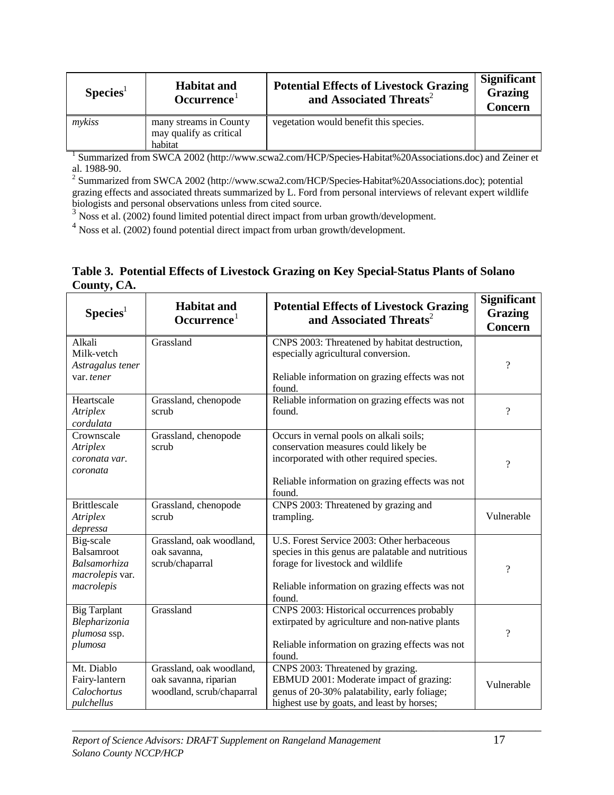| Species <sup>1</sup> | <b>Habitat and</b><br>Occurrence <sup>1</sup>                | <b>Potential Effects of Livestock Grazing</b><br>and Associated Threats <sup>2</sup> | <b>Significant</b><br><b>Grazing</b><br><b>Concern</b> |
|----------------------|--------------------------------------------------------------|--------------------------------------------------------------------------------------|--------------------------------------------------------|
| mykiss               | many streams in County<br>may qualify as critical<br>habitat | vegetation would benefit this species.                                               |                                                        |

habitat 1 Summarized from SWCA 2002 (http://www.scwa2.com/HCP/Species-Habitat%20Associations.doc) and Zeiner et

al. 1988-90.<br><sup>2</sup> Summarized from SWCA 2002 (http://www.scwa2.com/HCP/Species-Habitat%20Associations.doc); potential grazing effects and associated threats summarized by L. Ford from personal interviews of relevant expert wildlife biologists and personal observations unless from cited source.

<sup>3</sup> Noss et al. (2002) found limited potential direct impact from urban growth/development.

<sup>4</sup> Noss et al. (2002) found potential direct impact from urban growth/development.

|             | Table 3. Potential Effects of Livestock Grazing on Key Special-Status Plants of Solano |
|-------------|----------------------------------------------------------------------------------------|
| County, CA. |                                                                                        |

| $S$ pecies <sup>1</sup>                                                         | <b>Habitat and</b><br>Occurrence <sup>1</sup>                                  | <b>Potential Effects of Livestock Grazing</b><br>and Associated Threats <sup>2</sup>                                                                                                               | <b>Significant</b><br><b>Grazing</b><br><b>Concern</b> |
|---------------------------------------------------------------------------------|--------------------------------------------------------------------------------|----------------------------------------------------------------------------------------------------------------------------------------------------------------------------------------------------|--------------------------------------------------------|
| Alkali<br>Milk-vetch<br>Astragalus tener<br>var. tener                          | Grassland                                                                      | CNPS 2003: Threatened by habitat destruction,<br>especially agricultural conversion.<br>Reliable information on grazing effects was not<br>found.                                                  | $\overline{?}$                                         |
| Heartscale<br><b>Atriplex</b><br>cordulata                                      | Grassland, chenopode<br>scrub                                                  | Reliable information on grazing effects was not<br>found.                                                                                                                                          | $\overline{?}$                                         |
| Crownscale<br>Atriplex<br>coronata var.<br>coronata                             | Grassland, chenopode<br>scrub                                                  | Occurs in vernal pools on alkali soils;<br>conservation measures could likely be<br>incorporated with other required species.<br>Reliable information on grazing effects was not<br>found.         | $\overline{\cdot}$                                     |
| <b>Brittlescale</b><br><b>Atriplex</b><br>depressa                              | Grassland, chenopode<br>scrub                                                  | CNPS 2003: Threatened by grazing and<br>trampling.                                                                                                                                                 | Vulnerable                                             |
| Big-scale<br>Balsamroot<br><b>Balsamorhiza</b><br>macrolepis var.<br>macrolepis | Grassland, oak woodland,<br>oak savanna,<br>scrub/chaparral                    | U.S. Forest Service 2003: Other herbaceous<br>species in this genus are palatable and nutritious<br>forage for livestock and wildlife<br>Reliable information on grazing effects was not<br>found. | $\gamma$                                               |
| <b>Big Tarplant</b><br>Blepharizonia<br>plumosa ssp.<br>plumosa                 | Grassland                                                                      | CNPS 2003: Historical occurrences probably<br>extirpated by agriculture and non-native plants<br>Reliable information on grazing effects was not<br>found.                                         | $\overline{\cdot}$                                     |
| Mt. Diablo<br>Fairy-lantern<br>Calochortus<br>pulchellus                        | Grassland, oak woodland,<br>oak savanna, riparian<br>woodland, scrub/chaparral | CNPS 2003: Threatened by grazing.<br>EBMUD 2001: Moderate impact of grazing:<br>genus of 20-30% palatability, early foliage;<br>highest use by goats, and least by horses;                         | Vulnerable                                             |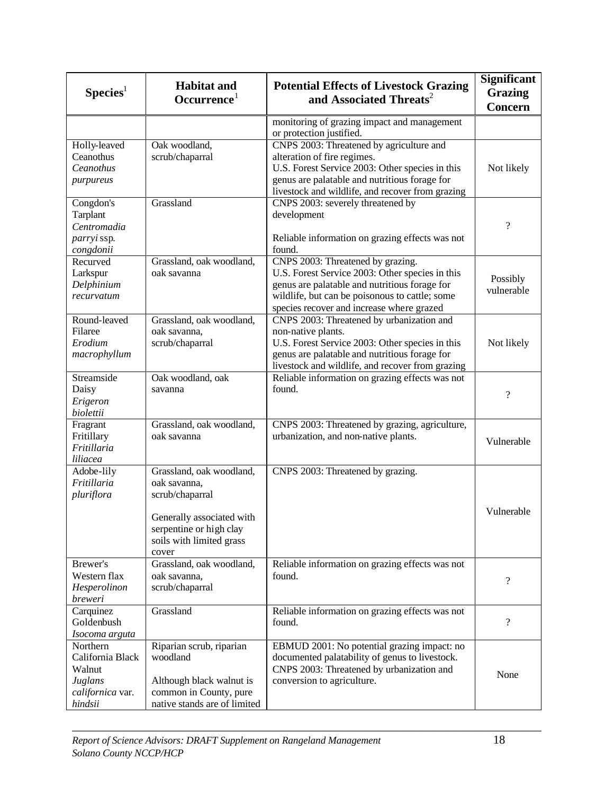| Species <sup>1</sup>                                                             | <b>Habitat and</b><br>Occurrence <sup>1</sup>                                                                                                            | <b>Potential Effects of Livestock Grazing</b><br>and Associated Threats <sup>2</sup>                                                                                                                                                 | <b>Significant</b><br><b>Grazing</b><br><b>Concern</b> |
|----------------------------------------------------------------------------------|----------------------------------------------------------------------------------------------------------------------------------------------------------|--------------------------------------------------------------------------------------------------------------------------------------------------------------------------------------------------------------------------------------|--------------------------------------------------------|
|                                                                                  |                                                                                                                                                          | monitoring of grazing impact and management<br>or protection justified.                                                                                                                                                              |                                                        |
| Holly-leaved<br>Ceanothus<br>Ceanothus<br>purpureus                              | Oak woodland,<br>scrub/chaparral                                                                                                                         | CNPS 2003: Threatened by agriculture and<br>alteration of fire regimes.<br>U.S. Forest Service 2003: Other species in this<br>genus are palatable and nutritious forage for<br>livestock and wildlife, and recover from grazing      | Not likely                                             |
| Congdon's<br>Tarplant<br>Centromadia<br>parryi ssp.<br>congdonii                 | Grassland                                                                                                                                                | CNPS 2003: severely threatened by<br>development<br>Reliable information on grazing effects was not<br>found.                                                                                                                        | $\overline{\mathcal{L}}$                               |
| Recurved<br>Larkspur<br>Delphinium<br>recurvatum                                 | Grassland, oak woodland,<br>oak savanna                                                                                                                  | CNPS 2003: Threatened by grazing.<br>U.S. Forest Service 2003: Other species in this<br>genus are palatable and nutritious forage for<br>wildlife, but can be poisonous to cattle; some<br>species recover and increase where grazed | Possibly<br>vulnerable                                 |
| Round-leaved<br>Filaree<br>Erodium<br>macrophyllum                               | Grassland, oak woodland,<br>oak savanna,<br>scrub/chaparral                                                                                              | CNPS 2003: Threatened by urbanization and<br>non-native plants.<br>U.S. Forest Service 2003: Other species in this<br>genus are palatable and nutritious forage for<br>livestock and wildlife, and recover from grazing              | Not likely                                             |
| Streamside<br>Daisy<br>Erigeron<br>biolettii                                     | Oak woodland, oak<br>savanna                                                                                                                             | Reliable information on grazing effects was not<br>found.                                                                                                                                                                            | $\overline{\mathcal{L}}$                               |
| Fragrant<br>Fritillary<br>Fritillaria<br>liliacea                                | Grassland, oak woodland,<br>oak savanna                                                                                                                  | CNPS 2003: Threatened by grazing, agriculture,<br>urbanization, and non-native plants.                                                                                                                                               | Vulnerable                                             |
| Adobe-lily<br>Fritillaria<br>pluriflora                                          | Grassland, oak woodland,<br>oak savanna,<br>scrub/chaparral<br>Generally associated with<br>serpentine or high clay<br>soils with limited grass<br>cover | CNPS 2003: Threatened by grazing.                                                                                                                                                                                                    | Vulnerable                                             |
| Brewer's<br>Western flax<br>Hesperolinon<br>breweri                              | Grassland, oak woodland,<br>oak savanna,<br>scrub/chaparral                                                                                              | Reliable information on grazing effects was not<br>found.                                                                                                                                                                            | $\overline{\cdot}$                                     |
| Carquinez<br>Goldenbush<br>Isocoma arguta                                        | Grassland                                                                                                                                                | Reliable information on grazing effects was not<br>found.                                                                                                                                                                            | $\overline{\mathcal{L}}$                               |
| Northern<br>California Black<br>Walnut<br>Juglans<br>californica var.<br>hindsii | Riparian scrub, riparian<br>woodland<br>Although black walnut is<br>common in County, pure<br>native stands are of limited                               | EBMUD 2001: No potential grazing impact: no<br>documented palatability of genus to livestock.<br>CNPS 2003: Threatened by urbanization and<br>conversion to agriculture.                                                             | None                                                   |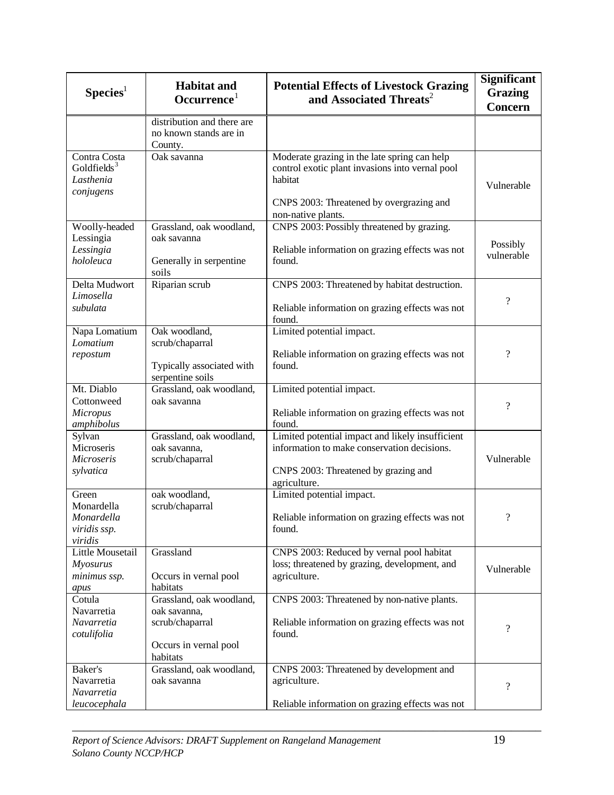| Species <sup>1</sup>                                              | <b>Habitat and</b><br>Occurrence <sup>1</sup>                                                    | <b>Potential Effects of Livestock Grazing</b><br>and Associated Threats <sup>2</sup>                                                                                         | <b>Significant</b><br><b>Grazing</b><br><b>Concern</b> |
|-------------------------------------------------------------------|--------------------------------------------------------------------------------------------------|------------------------------------------------------------------------------------------------------------------------------------------------------------------------------|--------------------------------------------------------|
|                                                                   | distribution and there are<br>no known stands are in<br>County.                                  |                                                                                                                                                                              |                                                        |
| Contra Costa<br>Goldfields <sup>3</sup><br>Lasthenia<br>conjugens | Oak savanna                                                                                      | Moderate grazing in the late spring can help<br>control exotic plant invasions into vernal pool<br>habitat<br>CNPS 2003: Threatened by overgrazing and<br>non-native plants. | Vulnerable                                             |
| Woolly-headed<br>Lessingia<br>Lessingia<br>hololeuca              | Grassland, oak woodland,<br>oak savanna<br>Generally in serpentine<br>soils                      | CNPS 2003: Possibly threatened by grazing.<br>Reliable information on grazing effects was not<br>found.                                                                      | Possibly<br>vulnerable                                 |
| Delta Mudwort<br>Limosella<br>subulata                            | Riparian scrub                                                                                   | CNPS 2003: Threatened by habitat destruction.<br>Reliable information on grazing effects was not<br>found.                                                                   | $\overline{\mathcal{L}}$                               |
| Napa Lomatium<br>Lomatium<br>repostum                             | Oak woodland,<br>scrub/chaparral<br>Typically associated with<br>serpentine soils                | Limited potential impact.<br>Reliable information on grazing effects was not<br>found.                                                                                       | $\overline{\mathcal{L}}$                               |
| Mt. Diablo<br>Cottonweed<br><b>Micropus</b><br>amphibolus         | Grassland, oak woodland,<br>oak savanna                                                          | Limited potential impact.<br>Reliable information on grazing effects was not<br>found.                                                                                       | $\overline{\mathcal{L}}$                               |
| Sylvan<br>Microseris<br>Microseris<br>sylvatica                   | Grassland, oak woodland,<br>oak savanna,<br>scrub/chaparral                                      | Limited potential impact and likely insufficient<br>information to make conservation decisions.<br>CNPS 2003: Threatened by grazing and<br>agriculture.                      | Vulnerable                                             |
| Green<br>Monardella<br>Monardella<br>viridis ssp.<br>viridis      | oak woodland,<br>scrub/chaparral                                                                 | Limited potential impact.<br>Reliable information on grazing effects was not<br>found.                                                                                       | $\overline{\mathcal{L}}$                               |
| Little Mousetail<br><b>Myosurus</b><br>minimus ssp.<br>apus       | Grassland<br>Occurs in vernal pool<br>habitats                                                   | CNPS 2003: Reduced by vernal pool habitat<br>loss; threatened by grazing, development, and<br>agriculture.                                                                   | Vulnerable                                             |
| Cotula<br>Navarretia<br>Navarretia<br>cotulifolia                 | Grassland, oak woodland,<br>oak savanna,<br>scrub/chaparral<br>Occurs in vernal pool<br>habitats | CNPS 2003: Threatened by non-native plants.<br>Reliable information on grazing effects was not<br>found.                                                                     | $\overline{\mathcal{L}}$                               |
| Baker's<br>Navarretia<br>Navarretia<br>leucocephala               | Grassland, oak woodland,<br>oak savanna                                                          | CNPS 2003: Threatened by development and<br>agriculture.<br>Reliable information on grazing effects was not                                                                  | $\overline{\mathcal{L}}$                               |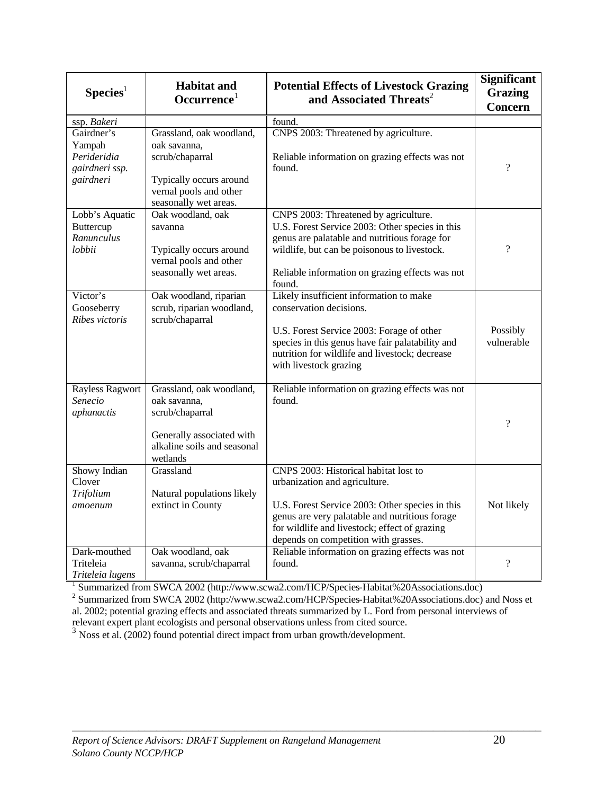| $S$ pecies <sup>1</sup>                                            | <b>Habitat and</b><br>Occurrence <sup>1</sup>                                                                                             | <b>Potential Effects of Livestock Grazing</b><br>and Associated Threats <sup>2</sup>                                                                                                                                                                                 | Significant<br><b>Grazing</b><br><b>Concern</b> |
|--------------------------------------------------------------------|-------------------------------------------------------------------------------------------------------------------------------------------|----------------------------------------------------------------------------------------------------------------------------------------------------------------------------------------------------------------------------------------------------------------------|-------------------------------------------------|
| ssp. Bakeri                                                        |                                                                                                                                           | found.                                                                                                                                                                                                                                                               |                                                 |
| Gairdner's<br>Yampah<br>Perideridia<br>gairdneri ssp.<br>gairdneri | Grassland, oak woodland,<br>oak savanna,<br>scrub/chaparral<br>Typically occurs around<br>vernal pools and other<br>seasonally wet areas. | CNPS 2003: Threatened by agriculture.<br>Reliable information on grazing effects was not<br>found.                                                                                                                                                                   | $\overline{?}$                                  |
| Lobb's Aquatic<br>Buttercup<br>Ranunculus<br>lobbii                | Oak woodland, oak<br>savanna<br>Typically occurs around<br>vernal pools and other<br>seasonally wet areas.                                | CNPS 2003: Threatened by agriculture.<br>U.S. Forest Service 2003: Other species in this<br>genus are palatable and nutritious forage for<br>wildlife, but can be poisonous to livestock.<br>Reliable information on grazing effects was not<br>found.               | $\overline{\cdot}$                              |
| Victor's<br>Gooseberry<br>Ribes victoris                           | Oak woodland, riparian<br>scrub, riparian woodland,<br>scrub/chaparral                                                                    | Likely insufficient information to make<br>conservation decisions.<br>U.S. Forest Service 2003: Forage of other<br>species in this genus have fair palatability and<br>nutrition for wildlife and livestock; decrease<br>with livestock grazing                      | Possibly<br>vulnerable                          |
| <b>Rayless Ragwort</b><br>Senecio<br>aphanactis                    | Grassland, oak woodland,<br>oak savanna,<br>scrub/chaparral<br>Generally associated with<br>alkaline soils and seasonal<br>wetlands       | Reliable information on grazing effects was not<br>found.                                                                                                                                                                                                            | $\overline{?}$                                  |
| Showy Indian<br>Clover<br>Trifolium<br>amoenum                     | Grassland<br>Natural populations likely<br>extinct in County                                                                              | CNPS 2003: Historical habitat lost to<br>urbanization and agriculture.<br>U.S. Forest Service 2003: Other species in this<br>genus are very palatable and nutritious forage<br>for wildlife and livestock; effect of grazing<br>depends on competition with grasses. | Not likely                                      |
| Dark-mouthed<br>Triteleia<br>Triteleia lugens                      | Oak woodland, oak<br>savanna, scrub/chaparral                                                                                             | Reliable information on grazing effects was not<br>found.                                                                                                                                                                                                            | $\overline{\mathcal{L}}$                        |

*Triteleia lugens* 1 Summarized from SWCA 2002 (http://www.scwa2.com/HCP/Species-Habitat%20Associations.doc) 2 Summarized from SWCA 2002 (http://www.scwa2.com/HCP/Species-Habitat%20Associations.doc) and Noss et al. 2002; potential grazing effects and associated threats summarized by L. Ford from personal interviews of relevant expert plant ecologists and personal observations unless from cited source.

\_\_\_\_\_\_\_\_\_\_\_\_\_\_\_\_\_\_\_\_\_\_\_\_\_\_\_\_\_\_\_\_\_\_\_\_\_\_\_\_\_\_\_\_\_\_\_\_\_\_\_\_\_\_\_\_\_\_\_\_\_\_\_\_\_\_\_\_\_\_\_\_\_\_\_\_\_\_

<sup>3</sup> Noss et al. (2002) found potential direct impact from urban growth/development.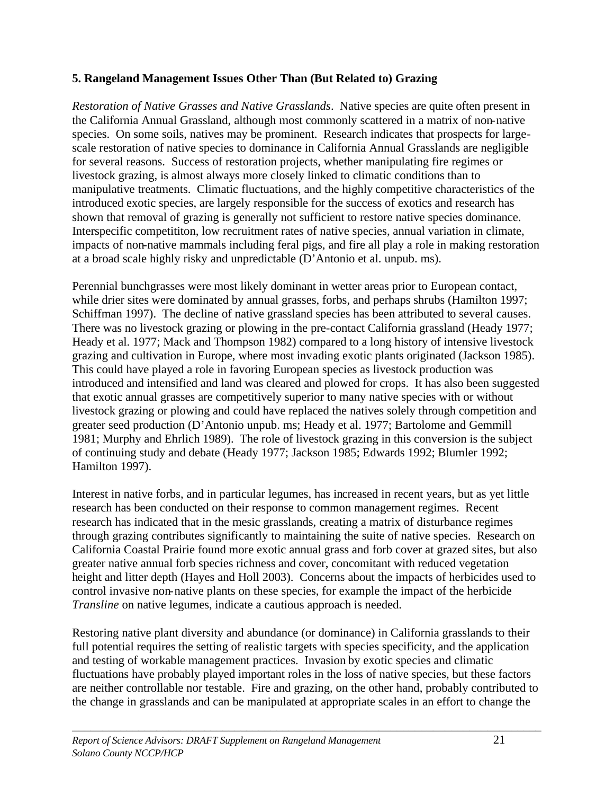## **5. Rangeland Management Issues Other Than (But Related to) Grazing**

*Restoration of Native Grasses and Native Grasslands*. Native species are quite often present in the California Annual Grassland, although most commonly scattered in a matrix of non-native species. On some soils, natives may be prominent. Research indicates that prospects for largescale restoration of native species to dominance in California Annual Grasslands are negligible for several reasons. Success of restoration projects, whether manipulating fire regimes or livestock grazing, is almost always more closely linked to climatic conditions than to manipulative treatments. Climatic fluctuations, and the highly competitive characteristics of the introduced exotic species, are largely responsible for the success of exotics and research has shown that removal of grazing is generally not sufficient to restore native species dominance. Interspecific competititon, low recruitment rates of native species, annual variation in climate, impacts of non-native mammals including feral pigs, and fire all play a role in making restoration at a broad scale highly risky and unpredictable (D'Antonio et al. unpub. ms).

Perennial bunchgrasses were most likely dominant in wetter areas prior to European contact, while drier sites were dominated by annual grasses, forbs, and perhaps shrubs (Hamilton 1997; Schiffman 1997). The decline of native grassland species has been attributed to several causes. There was no livestock grazing or plowing in the pre-contact California grassland (Heady 1977; Heady et al. 1977; Mack and Thompson 1982) compared to a long history of intensive livestock grazing and cultivation in Europe, where most invading exotic plants originated (Jackson 1985). This could have played a role in favoring European species as livestock production was introduced and intensified and land was cleared and plowed for crops. It has also been suggested that exotic annual grasses are competitively superior to many native species with or without livestock grazing or plowing and could have replaced the natives solely through competition and greater seed production (D'Antonio unpub. ms; Heady et al. 1977; Bartolome and Gemmill 1981; Murphy and Ehrlich 1989). The role of livestock grazing in this conversion is the subject of continuing study and debate (Heady 1977; Jackson 1985; Edwards 1992; Blumler 1992; Hamilton 1997).

Interest in native forbs, and in particular legumes, has increased in recent years, but as yet little research has been conducted on their response to common management regimes. Recent research has indicated that in the mesic grasslands, creating a matrix of disturbance regimes through grazing contributes significantly to maintaining the suite of native species. Research on California Coastal Prairie found more exotic annual grass and forb cover at grazed sites, but also greater native annual forb species richness and cover, concomitant with reduced vegetation height and litter depth (Hayes and Holl 2003). Concerns about the impacts of herbicides used to control invasive non-native plants on these species, for example the impact of the herbicide *Transline* on native legumes, indicate a cautious approach is needed.

Restoring native plant diversity and abundance (or dominance) in California grasslands to their full potential requires the setting of realistic targets with species specificity, and the application and testing of workable management practices. Invasion by exotic species and climatic fluctuations have probably played important roles in the loss of native species, but these factors are neither controllable nor testable. Fire and grazing, on the other hand, probably contributed to the change in grasslands and can be manipulated at appropriate scales in an effort to change the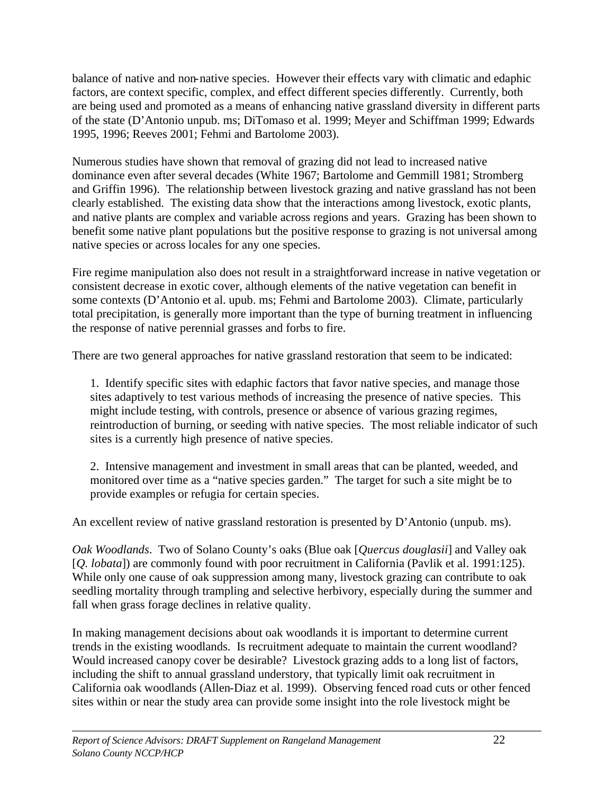balance of native and non-native species. However their effects vary with climatic and edaphic factors, are context specific, complex, and effect different species differently. Currently, both are being used and promoted as a means of enhancing native grassland diversity in different parts of the state (D'Antonio unpub. ms; DiTomaso et al. 1999; Meyer and Schiffman 1999; Edwards 1995, 1996; Reeves 2001; Fehmi and Bartolome 2003).

Numerous studies have shown that removal of grazing did not lead to increased native dominance even after several decades (White 1967; Bartolome and Gemmill 1981; Stromberg and Griffin 1996). The relationship between livestock grazing and native grassland has not been clearly established. The existing data show that the interactions among livestock, exotic plants, and native plants are complex and variable across regions and years. Grazing has been shown to benefit some native plant populations but the positive response to grazing is not universal among native species or across locales for any one species.

Fire regime manipulation also does not result in a straightforward increase in native vegetation or consistent decrease in exotic cover, although elements of the native vegetation can benefit in some contexts (D'Antonio et al. upub. ms; Fehmi and Bartolome 2003). Climate, particularly total precipitation, is generally more important than the type of burning treatment in influencing the response of native perennial grasses and forbs to fire.

There are two general approaches for native grassland restoration that seem to be indicated:

1. Identify specific sites with edaphic factors that favor native species, and manage those sites adaptively to test various methods of increasing the presence of native species. This might include testing, with controls, presence or absence of various grazing regimes, reintroduction of burning, or seeding with native species. The most reliable indicator of such sites is a currently high presence of native species.

2. Intensive management and investment in small areas that can be planted, weeded, and monitored over time as a "native species garden." The target for such a site might be to provide examples or refugia for certain species.

An excellent review of native grassland restoration is presented by D'Antonio (unpub. ms).

*Oak Woodlands*. Two of Solano County's oaks (Blue oak [*Quercus douglasii*] and Valley oak [*Q. lobata*]) are commonly found with poor recruitment in California (Pavlik et al. 1991:125). While only one cause of oak suppression among many, livestock grazing can contribute to oak seedling mortality through trampling and selective herbivory, especially during the summer and fall when grass forage declines in relative quality.

In making management decisions about oak woodlands it is important to determine current trends in the existing woodlands. Is recruitment adequate to maintain the current woodland? Would increased canopy cover be desirable? Livestock grazing adds to a long list of factors, including the shift to annual grassland understory, that typically limit oak recruitment in California oak woodlands (Allen-Diaz et al. 1999). Observing fenced road cuts or other fenced sites within or near the study area can provide some insight into the role livestock might be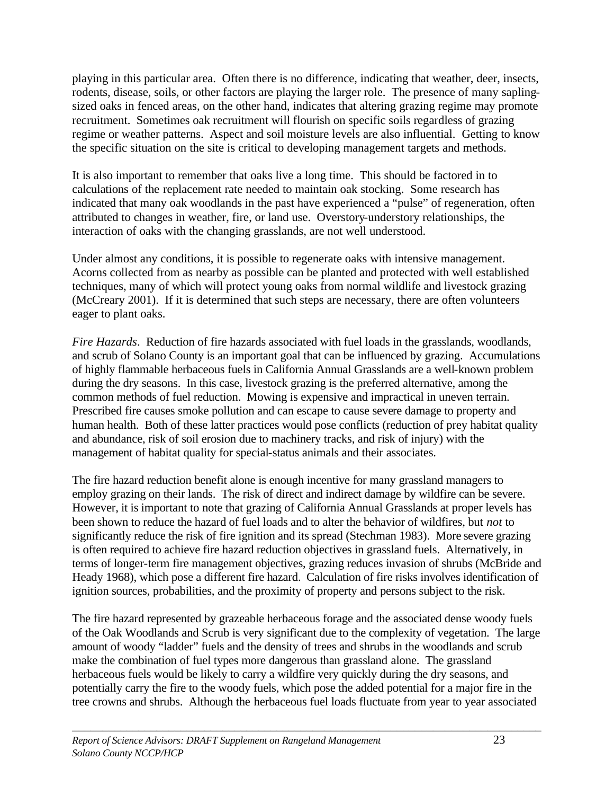playing in this particular area. Often there is no difference, indicating that weather, deer, insects, rodents, disease, soils, or other factors are playing the larger role. The presence of many saplingsized oaks in fenced areas, on the other hand, indicates that altering grazing regime may promote recruitment. Sometimes oak recruitment will flourish on specific soils regardless of grazing regime or weather patterns. Aspect and soil moisture levels are also influential. Getting to know the specific situation on the site is critical to developing management targets and methods.

It is also important to remember that oaks live a long time. This should be factored in to calculations of the replacement rate needed to maintain oak stocking. Some research has indicated that many oak woodlands in the past have experienced a "pulse" of regeneration, often attributed to changes in weather, fire, or land use. Overstory-understory relationships, the interaction of oaks with the changing grasslands, are not well understood.

Under almost any conditions, it is possible to regenerate oaks with intensive management. Acorns collected from as nearby as possible can be planted and protected with well established techniques, many of which will protect young oaks from normal wildlife and livestock grazing (McCreary 2001). If it is determined that such steps are necessary, there are often volunteers eager to plant oaks.

*Fire Hazards*. Reduction of fire hazards associated with fuel loads in the grasslands, woodlands, and scrub of Solano County is an important goal that can be influenced by grazing. Accumulations of highly flammable herbaceous fuels in California Annual Grasslands are a well-known problem during the dry seasons. In this case, livestock grazing is the preferred alternative, among the common methods of fuel reduction. Mowing is expensive and impractical in uneven terrain. Prescribed fire causes smoke pollution and can escape to cause severe damage to property and human health. Both of these latter practices would pose conflicts (reduction of prey habitat quality and abundance, risk of soil erosion due to machinery tracks, and risk of injury) with the management of habitat quality for special-status animals and their associates.

The fire hazard reduction benefit alone is enough incentive for many grassland managers to employ grazing on their lands. The risk of direct and indirect damage by wildfire can be severe. However, it is important to note that grazing of California Annual Grasslands at proper levels has been shown to reduce the hazard of fuel loads and to alter the behavior of wildfires, but *not* to significantly reduce the risk of fire ignition and its spread (Stechman 1983). More severe grazing is often required to achieve fire hazard reduction objectives in grassland fuels. Alternatively, in terms of longer-term fire management objectives, grazing reduces invasion of shrubs (McBride and Heady 1968), which pose a different fire hazard. Calculation of fire risks involves identification of ignition sources, probabilities, and the proximity of property and persons subject to the risk.

The fire hazard represented by grazeable herbaceous forage and the associated dense woody fuels of the Oak Woodlands and Scrub is very significant due to the complexity of vegetation. The large amount of woody "ladder" fuels and the density of trees and shrubs in the woodlands and scrub make the combination of fuel types more dangerous than grassland alone. The grassland herbaceous fuels would be likely to carry a wildfire very quickly during the dry seasons, and potentially carry the fire to the woody fuels, which pose the added potential for a major fire in the tree crowns and shrubs. Although the herbaceous fuel loads fluctuate from year to year associated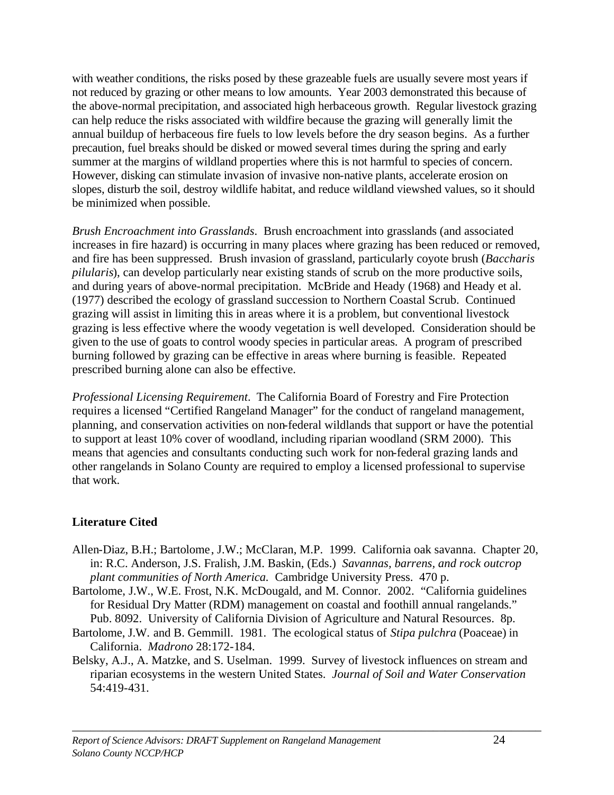with weather conditions, the risks posed by these grazeable fuels are usually severe most years if not reduced by grazing or other means to low amounts. Year 2003 demonstrated this because of the above-normal precipitation, and associated high herbaceous growth. Regular livestock grazing can help reduce the risks associated with wildfire because the grazing will generally limit the annual buildup of herbaceous fire fuels to low levels before the dry season begins. As a further precaution, fuel breaks should be disked or mowed several times during the spring and early summer at the margins of wildland properties where this is not harmful to species of concern. However, disking can stimulate invasion of invasive non-native plants, accelerate erosion on slopes, disturb the soil, destroy wildlife habitat, and reduce wildland viewshed values, so it should be minimized when possible.

*Brush Encroachment into Grasslands*. Brush encroachment into grasslands (and associated increases in fire hazard) is occurring in many places where grazing has been reduced or removed, and fire has been suppressed. Brush invasion of grassland, particularly coyote brush (*Baccharis pilularis*), can develop particularly near existing stands of scrub on the more productive soils, and during years of above-normal precipitation. McBride and Heady (1968) and Heady et al. (1977) described the ecology of grassland succession to Northern Coastal Scrub. Continued grazing will assist in limiting this in areas where it is a problem, but conventional livestock grazing is less effective where the woody vegetation is well developed. Consideration should be given to the use of goats to control woody species in particular areas. A program of prescribed burning followed by grazing can be effective in areas where burning is feasible. Repeated prescribed burning alone can also be effective.

*Professional Licensing Requirement*. The California Board of Forestry and Fire Protection requires a licensed "Certified Rangeland Manager" for the conduct of rangeland management, planning, and conservation activities on non-federal wildlands that support or have the potential to support at least 10% cover of woodland, including riparian woodland (SRM 2000). This means that agencies and consultants conducting such work for non-federal grazing lands and other rangelands in Solano County are required to employ a licensed professional to supervise that work.

# **Literature Cited**

- Allen-Diaz, B.H.; Bartolome, J.W.; McClaran, M.P. 1999. California oak savanna. Chapter 20, in: R.C. Anderson, J.S. Fralish, J.M. Baskin, (Eds.) *Savannas, barrens, and rock outcrop plant communities of North America.* Cambridge University Press. 470 p.
- Bartolome, J.W., W.E. Frost, N.K. McDougald, and M. Connor. 2002. "California guidelines for Residual Dry Matter (RDM) management on coastal and foothill annual rangelands." Pub. 8092. University of California Division of Agriculture and Natural Resources. 8p.
- Bartolome, J.W. and B. Gemmill. 1981. The ecological status of *Stipa pulchra* (Poaceae) in California. *Madrono* 28:172-184.
- Belsky, A.J., A. Matzke, and S. Uselman. 1999. Survey of livestock influences on stream and riparian ecosystems in the western United States. *Journal of Soil and Water Conservation* 54:419-431.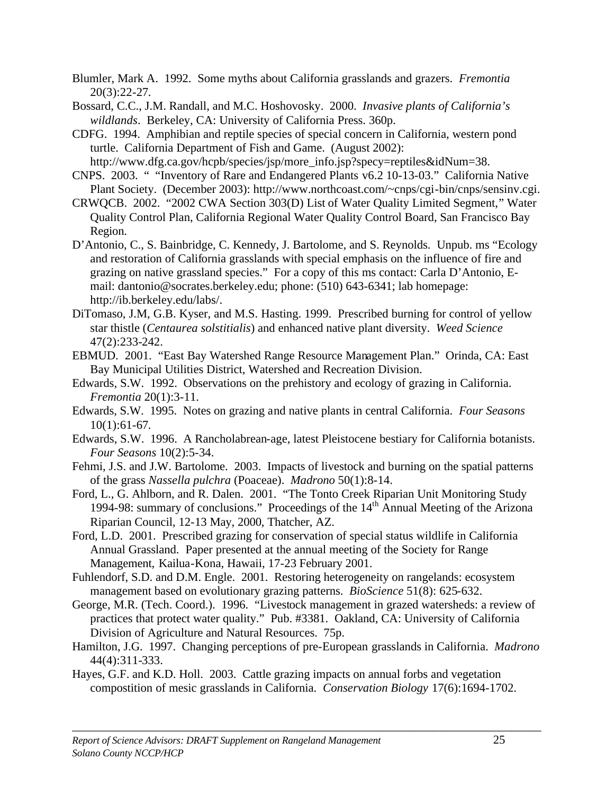Blumler, Mark A. 1992. Some myths about California grasslands and grazers. *Fremontia* 20(3):22-27.

Bossard, C.C., J.M. Randall, and M.C. Hoshovosky. 2000. *Invasive plants of California's wildlands*. Berkeley, CA: University of California Press. 360p.

CDFG. 1994. Amphibian and reptile species of special concern in California, western pond turtle. California Department of Fish and Game. (August 2002):

http://www.dfg.ca.gov/hcpb/species/jsp/more\_info.jsp?specy=reptiles&idNum=38.

CNPS. 2003. " "Inventory of Rare and Endangered Plants v6.2 10-13-03." California Native Plant Society. (December 2003): http://www.northcoast.com/~cnps/cgi-bin/cnps/sensinv.cgi.

CRWQCB. 2002. "2002 CWA Section 303(D) List of Water Quality Limited Segment," Water Quality Control Plan, California Regional Water Quality Control Board, San Francisco Bay Region.

D'Antonio, C., S. Bainbridge, C. Kennedy, J. Bartolome, and S. Reynolds. Unpub. ms "Ecology and restoration of California grasslands with special emphasis on the influence of fire and grazing on native grassland species." For a copy of this ms contact: Carla D'Antonio, Email: dantonio@socrates.berkeley.edu; phone: (510) 643-6341; lab homepage: http://ib.berkeley.edu/labs/.

DiTomaso, J.M, G.B. Kyser, and M.S. Hasting. 1999. Prescribed burning for control of yellow star thistle (*Centaurea solstitialis*) and enhanced native plant diversity. *Weed Science* 47(2):233-242.

EBMUD. 2001. "East Bay Watershed Range Resource Management Plan." Orinda, CA: East Bay Municipal Utilities District, Watershed and Recreation Division.

Edwards, S.W. 1992. Observations on the prehistory and ecology of grazing in California. *Fremontia* 20(1):3-11.

Edwards, S.W. 1995. Notes on grazing and native plants in central California. *Four Seasons*  $10(1):61-67.$ 

Edwards, S.W. 1996. A Rancholabrean-age, latest Pleistocene bestiary for California botanists. *Four Seasons* 10(2):5-34.

Fehmi, J.S. and J.W. Bartolome. 2003. Impacts of livestock and burning on the spatial patterns of the grass *Nassella pulchra* (Poaceae). *Madrono* 50(1):8-14.

Ford, L., G. Ahlborn, and R. Dalen. 2001. "The Tonto Creek Riparian Unit Monitoring Study 1994-98: summary of conclusions." Proceedings of the  $14<sup>th</sup>$  Annual Meeting of the Arizona Riparian Council, 12-13 May, 2000, Thatcher, AZ.

Ford, L.D. 2001. Prescribed grazing for conservation of special status wildlife in California Annual Grassland. Paper presented at the annual meeting of the Society for Range Management, Kailua-Kona, Hawaii, 17-23 February 2001.

Fuhlendorf, S.D. and D.M. Engle. 2001. Restoring heterogeneity on rangelands: ecosystem management based on evolutionary grazing patterns. *BioScience* 51(8): 625-632.

George, M.R. (Tech. Coord.). 1996. "Livestock management in grazed watersheds: a review of practices that protect water quality." Pub. #3381. Oakland, CA: University of California Division of Agriculture and Natural Resources. 75p.

Hamilton, J.G. 1997. Changing perceptions of pre-European grasslands in California. *Madrono* 44(4):311-333.

\_\_\_\_\_\_\_\_\_\_\_\_\_\_\_\_\_\_\_\_\_\_\_\_\_\_\_\_\_\_\_\_\_\_\_\_\_\_\_\_\_\_\_\_\_\_\_\_\_\_\_\_\_\_\_\_\_\_\_\_\_\_\_\_\_\_\_\_\_\_\_\_\_\_\_\_\_\_

Hayes, G.F. and K.D. Holl. 2003. Cattle grazing impacts on annual forbs and vegetation compostition of mesic grasslands in California. *Conservation Biology* 17(6):1694-1702.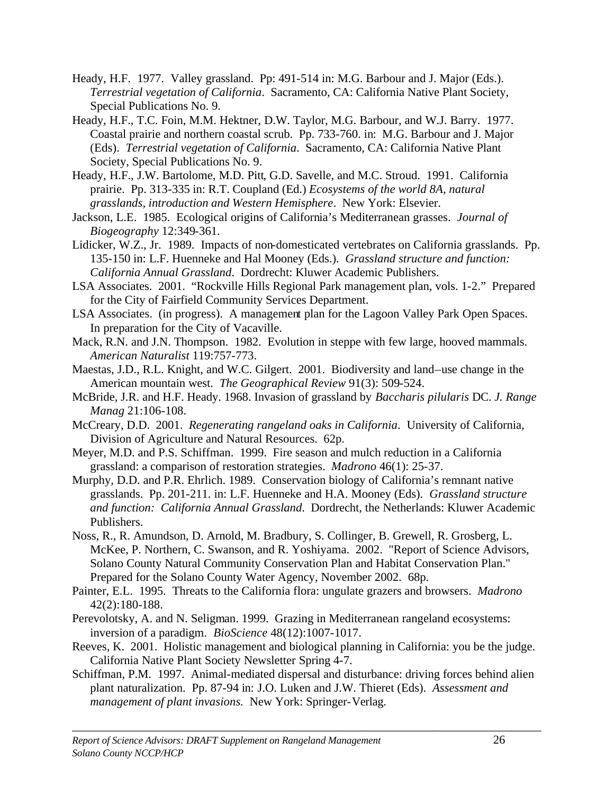- Heady, H.F. 1977. Valley grassland. Pp: 491-514 in: M.G. Barbour and J. Major (Eds.). *Terrestrial vegetation of California*. Sacramento, CA: California Native Plant Society, Special Publications No. 9.
- Heady, H.F., T.C. Foin, M.M. Hektner, D.W. Taylor, M.G. Barbour, and W.J. Barry. 1977. Coastal prairie and northern coastal scrub. Pp. 733-760. in: M.G. Barbour and J. Major (Eds). *Terrestrial vegetation of California*. Sacramento, CA: California Native Plant Society, Special Publications No. 9.
- Heady, H.F., J.W. Bartolome, M.D. Pitt, G.D. Savelle, and M.C. Stroud. 1991. California prairie. Pp. 313-335 in: R.T. Coupland (Ed.) *Ecosystems of the world 8A, natural grasslands, introduction and Western Hemisphere*. New York: Elsevier.
- Jackson, L.E. 1985. Ecological origins of California's Mediterranean grasses. *Journal of Biogeography* 12:349-361.
- Lidicker, W.Z., Jr. 1989. Impacts of non-domesticated vertebrates on California grasslands. Pp. 135-150 in: L.F. Huenneke and Hal Mooney (Eds.). *Grassland structure and function: California Annual Grassland*. Dordrecht: Kluwer Academic Publishers.
- LSA Associates. 2001. "Rockville Hills Regional Park management plan, vols. 1-2." Prepared for the City of Fairfield Community Services Department.
- LSA Associates. (in progress). A management plan for the Lagoon Valley Park Open Spaces. In preparation for the City of Vacaville.
- Mack, R.N. and J.N. Thompson. 1982. Evolution in steppe with few large, hooved mammals. *American Naturalist* 119:757-773.
- Maestas, J.D., R.L. Knight, and W.C. Gilgert. 2001. Biodiversity and land–use change in the American mountain west. *The Geographical Review* 91(3): 509-524.
- McBride, J.R. and H.F. Heady. 1968. Invasion of grassland by *Baccharis pilularis* DC. *J. Range Manag* 21:106-108.
- McCreary, D.D. 2001. *Regenerating rangeland oaks in California*. University of California, Division of Agriculture and Natural Resources. 62p.
- Meyer, M.D. and P.S. Schiffman. 1999. Fire season and mulch reduction in a California grassland: a comparison of restoration strategies. *Madrono* 46(1): 25-37.
- Murphy, D.D. and P.R. Ehrlich. 1989. Conservation biology of California's remnant native grasslands. Pp. 201-211. in: L.F. Huenneke and H.A. Mooney (Eds). *Grassland structure and function: California Annual Grassland*. Dordrecht, the Netherlands: Kluwer Academic Publishers.
- Noss, R., R. Amundson, D. Arnold, M. Bradbury, S. Collinger, B. Grewell, R. Grosberg, L. McKee, P. Northern, C. Swanson, and R. Yoshiyama. 2002. "Report of Science Advisors, Solano County Natural Community Conservation Plan and Habitat Conservation Plan." Prepared for the Solano County Water Agency, November 2002. 68p.
- Painter, E.L. 1995. Threats to the California flora: ungulate grazers and browsers. *Madrono* 42(2):180-188.
- Perevolotsky, A. and N. Seligman. 1999. Grazing in Mediterranean rangeland ecosystems: inversion of a paradigm. *BioScience* 48(12):1007-1017.
- Reeves, K. 2001. Holistic management and biological planning in California: you be the judge. California Native Plant Society Newsletter Spring 4-7.
- Schiffman, P.M. 1997. Animal-mediated dispersal and disturbance: driving forces behind alien plant naturalization. Pp. 87-94 in: J.O. Luken and J.W. Thieret (Eds). *Assessment and management of plant invasions.* New York: Springer-Verlag.